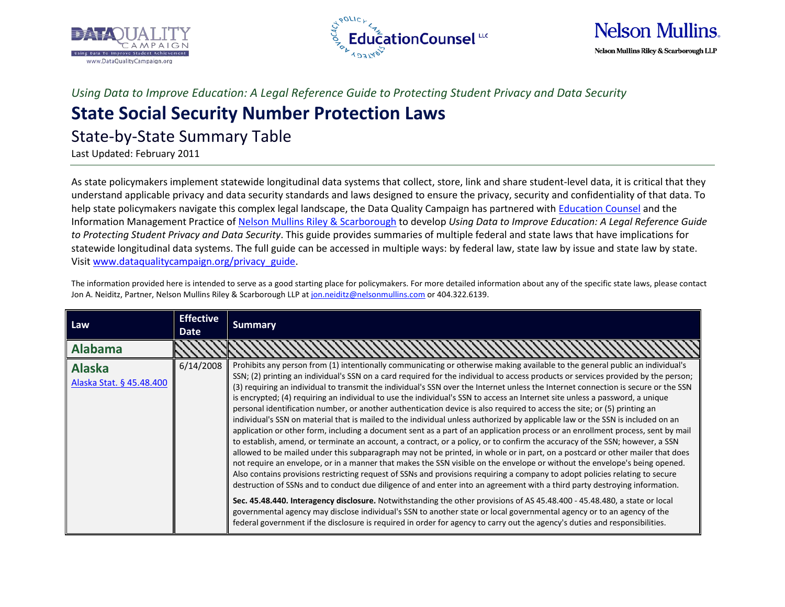





*Using Data to Improve Education: A Legal Reference Guide to Protecting Student Privacy and Data Security*

## **State Social Security Number Protection Laws**

State-by-State Summary Table

Last Updated: February 2011

As state policymakers implement statewide longitudinal data systems that collect, store, link and share student-level data, it is critical that they understand applicable privacy and data security standards and laws designed to ensure the privacy, security and confidentiality of that data. To help state policymakers navigate this complex legal landscape, the Data Quality Campaign has partnered wit[h Education Counsel](http://www.educationcounsel.com/) and the Information Management Practice of [Nelson Mullins Riley & Scarborough](http://www.nelsonmullins.com/) to develop *Using Data to Improve Education: A Legal Reference Guide to Protecting Student Privacy and Data Security*. This guide provides summaries of multiple federal and state laws that have implications for statewide longitudinal data systems. The full guide can be accessed in multiple ways: by federal law, state law by issue and state law by state. Visit [www.dataqualitycampaign.org/privacy\\_guide.](http://www.dataqualitycampaign.org/privacy_guide)

The information provided here is intended to serve as a good starting place for policymakers. For more detailed information about any of the specific state laws, please contact Jon A. Neiditz, Partner, Nelson Mullins Riley & Scarborough LLP at [jon.neiditz@nelsonmullins.com](mailto:jon.neiditz@nelsonmullins.com) or 404.322.6139.

| Law                                       | <b>Effective</b><br><b>Date</b> | <b>Summary</b>                                                                                                                                                                                                                                                                                                                                                                                                                                                                                                                                                                                                                                                                                                                                                                                                                                                                                                                                                                                                                                                                                                                                                                                                                                                                                                                                                                                                                                                                                                                                                                                                                                                                                                                                                                                                                                                                                                                                                                                 |
|-------------------------------------------|---------------------------------|------------------------------------------------------------------------------------------------------------------------------------------------------------------------------------------------------------------------------------------------------------------------------------------------------------------------------------------------------------------------------------------------------------------------------------------------------------------------------------------------------------------------------------------------------------------------------------------------------------------------------------------------------------------------------------------------------------------------------------------------------------------------------------------------------------------------------------------------------------------------------------------------------------------------------------------------------------------------------------------------------------------------------------------------------------------------------------------------------------------------------------------------------------------------------------------------------------------------------------------------------------------------------------------------------------------------------------------------------------------------------------------------------------------------------------------------------------------------------------------------------------------------------------------------------------------------------------------------------------------------------------------------------------------------------------------------------------------------------------------------------------------------------------------------------------------------------------------------------------------------------------------------------------------------------------------------------------------------------------------------|
| <b>Alabama</b>                            |                                 |                                                                                                                                                                                                                                                                                                                                                                                                                                                                                                                                                                                                                                                                                                                                                                                                                                                                                                                                                                                                                                                                                                                                                                                                                                                                                                                                                                                                                                                                                                                                                                                                                                                                                                                                                                                                                                                                                                                                                                                                |
| <b>Alaska</b><br>Alaska Stat. § 45.48.400 | 6/14/2008                       | Prohibits any person from (1) intentionally communicating or otherwise making available to the general public an individual's<br>SSN; (2) printing an individual's SSN on a card required for the individual to access products or services provided by the person;<br>(3) requiring an individual to transmit the individual's SSN over the Internet unless the Internet connection is secure or the SSN<br>is encrypted; (4) requiring an individual to use the individual's SSN to access an Internet site unless a password, a unique<br>personal identification number, or another authentication device is also required to access the site; or (5) printing an<br>individual's SSN on material that is mailed to the individual unless authorized by applicable law or the SSN is included on an<br>application or other form, including a document sent as a part of an application process or an enrollment process, sent by mail<br>to establish, amend, or terminate an account, a contract, or a policy, or to confirm the accuracy of the SSN; however, a SSN<br>allowed to be mailed under this subparagraph may not be printed, in whole or in part, on a postcard or other mailer that does<br>not require an envelope, or in a manner that makes the SSN visible on the envelope or without the envelope's being opened.<br>Also contains provisions restricting request of SSNs and provisions requiring a company to adopt policies relating to secure<br>destruction of SSNs and to conduct due diligence of and enter into an agreement with a third party destroying information.<br>Sec. 45.48.440. Interagency disclosure. Notwithstanding the other provisions of AS 45.48.400 - 45.48.480, a state or local<br>governmental agency may disclose individual's SSN to another state or local governmental agency or to an agency of the<br>federal government if the disclosure is required in order for agency to carry out the agency's duties and responsibilities. |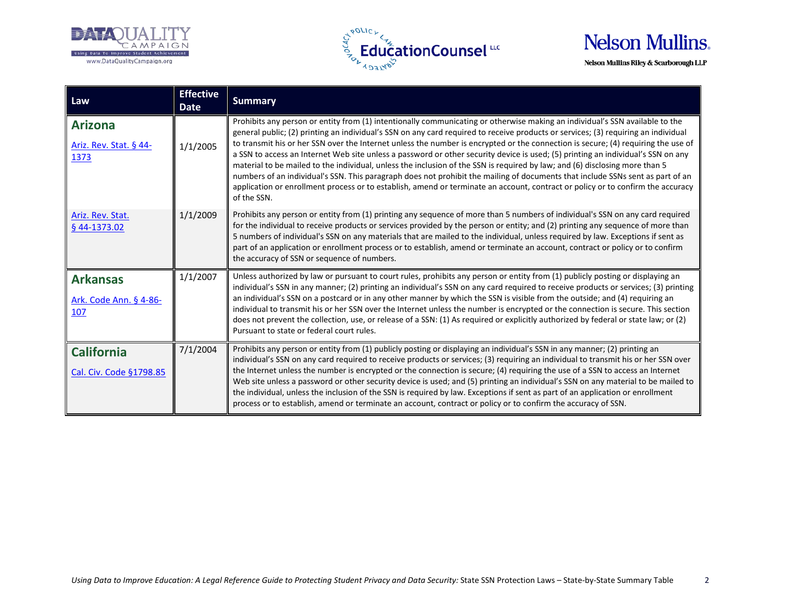





| Law                                              | <b>Effective</b><br><b>Date</b> | <b>Summary</b>                                                                                                                                                                                                                                                                                                                                                                                                                                                                                                                                                                                                                                                                                                                                                                                                                                                                                                                                                 |
|--------------------------------------------------|---------------------------------|----------------------------------------------------------------------------------------------------------------------------------------------------------------------------------------------------------------------------------------------------------------------------------------------------------------------------------------------------------------------------------------------------------------------------------------------------------------------------------------------------------------------------------------------------------------------------------------------------------------------------------------------------------------------------------------------------------------------------------------------------------------------------------------------------------------------------------------------------------------------------------------------------------------------------------------------------------------|
| <b>Arizona</b><br>Ariz. Rev. Stat. § 44-<br>1373 | 1/1/2005                        | Prohibits any person or entity from (1) intentionally communicating or otherwise making an individual's SSN available to the<br>general public; (2) printing an individual's SSN on any card required to receive products or services; (3) requiring an individual<br>to transmit his or her SSN over the Internet unless the number is encrypted or the connection is secure; (4) requiring the use of<br>a SSN to access an Internet Web site unless a password or other security device is used; (5) printing an individual's SSN on any<br>material to be mailed to the individual, unless the inclusion of the SSN is required by law; and (6) disclosing more than 5<br>numbers of an individual's SSN. This paragraph does not prohibit the mailing of documents that include SSNs sent as part of an<br>application or enrollment process or to establish, amend or terminate an account, contract or policy or to confirm the accuracy<br>of the SSN. |
| Ariz. Rev. Stat.<br>§ 44-1373.02                 | 1/1/2009                        | Prohibits any person or entity from (1) printing any sequence of more than 5 numbers of individual's SSN on any card required<br>for the individual to receive products or services provided by the person or entity; and (2) printing any sequence of more than<br>5 numbers of individual's SSN on any materials that are mailed to the individual, unless required by law. Exceptions if sent as<br>part of an application or enrollment process or to establish, amend or terminate an account, contract or policy or to confirm<br>the accuracy of SSN or sequence of numbers.                                                                                                                                                                                                                                                                                                                                                                            |
| <b>Arkansas</b><br>Ark. Code Ann. § 4-86-<br>107 | 1/1/2007                        | Unless authorized by law or pursuant to court rules, prohibits any person or entity from (1) publicly posting or displaying an<br>individual's SSN in any manner; (2) printing an individual's SSN on any card required to receive products or services; (3) printing<br>an individual's SSN on a postcard or in any other manner by which the SSN is visible from the outside; and (4) requiring an<br>individual to transmit his or her SSN over the Internet unless the number is encrypted or the connection is secure. This section<br>does not prevent the collection, use, or release of a SSN: (1) As required or explicitly authorized by federal or state law; or (2)<br>Pursuant to state or federal court rules.                                                                                                                                                                                                                                   |
| <b>California</b><br>Cal. Civ. Code §1798.85     | 7/1/2004                        | Prohibits any person or entity from (1) publicly posting or displaying an individual's SSN in any manner; (2) printing an<br>individual's SSN on any card required to receive products or services; (3) requiring an individual to transmit his or her SSN over<br>the Internet unless the number is encrypted or the connection is secure; (4) requiring the use of a SSN to access an Internet<br>Web site unless a password or other security device is used; and (5) printing an individual's SSN on any material to be mailed to<br>the individual, unless the inclusion of the SSN is required by law. Exceptions if sent as part of an application or enrollment<br>process or to establish, amend or terminate an account, contract or policy or to confirm the accuracy of SSN.                                                                                                                                                                       |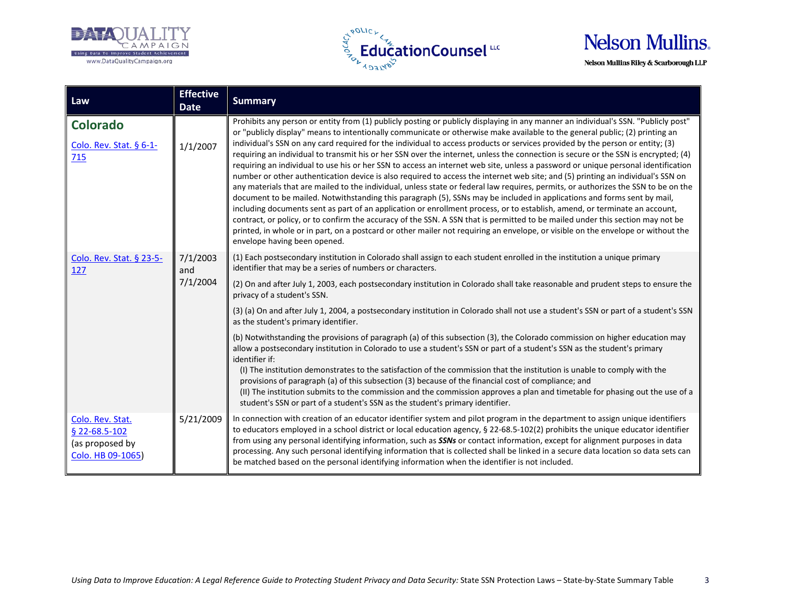





| Law                                                                       | <b>Effective</b><br><b>Date</b> | <b>Summary</b>                                                                                                                                                                                                                                                                                                                                                                                                                                                                                                                                                                                                                                                                                                                                                                                                                                                                                                                                                                                                                                                                                                                                                                                                                                                                                                                                                                                                                                                                                                        |
|---------------------------------------------------------------------------|---------------------------------|-----------------------------------------------------------------------------------------------------------------------------------------------------------------------------------------------------------------------------------------------------------------------------------------------------------------------------------------------------------------------------------------------------------------------------------------------------------------------------------------------------------------------------------------------------------------------------------------------------------------------------------------------------------------------------------------------------------------------------------------------------------------------------------------------------------------------------------------------------------------------------------------------------------------------------------------------------------------------------------------------------------------------------------------------------------------------------------------------------------------------------------------------------------------------------------------------------------------------------------------------------------------------------------------------------------------------------------------------------------------------------------------------------------------------------------------------------------------------------------------------------------------------|
| <b>Colorado</b><br>Colo. Rev. Stat. § 6-1-<br>715                         | 1/1/2007                        | Prohibits any person or entity from (1) publicly posting or publicly displaying in any manner an individual's SSN. "Publicly post"<br>or "publicly display" means to intentionally communicate or otherwise make available to the general public; (2) printing an<br>individual's SSN on any card required for the individual to access products or services provided by the person or entity; (3)<br>requiring an individual to transmit his or her SSN over the internet, unless the connection is secure or the SSN is encrypted; (4)<br>requiring an individual to use his or her SSN to access an internet web site, unless a password or unique personal identification<br>number or other authentication device is also required to access the internet web site; and (5) printing an individual's SSN on<br>any materials that are mailed to the individual, unless state or federal law requires, permits, or authorizes the SSN to be on the<br>document to be mailed. Notwithstanding this paragraph (5), SSNs may be included in applications and forms sent by mail,<br>including documents sent as part of an application or enrollment process, or to establish, amend, or terminate an account,<br>contract, or policy, or to confirm the accuracy of the SSN. A SSN that is permitted to be mailed under this section may not be<br>printed, in whole or in part, on a postcard or other mailer not requiring an envelope, or visible on the envelope or without the<br>envelope having been opened. |
| Colo. Rev. Stat. § 23-5-<br>127                                           | 7/1/2003<br>and<br>7/1/2004     | (1) Each postsecondary institution in Colorado shall assign to each student enrolled in the institution a unique primary<br>identifier that may be a series of numbers or characters.<br>(2) On and after July 1, 2003, each postsecondary institution in Colorado shall take reasonable and prudent steps to ensure the<br>privacy of a student's SSN.                                                                                                                                                                                                                                                                                                                                                                                                                                                                                                                                                                                                                                                                                                                                                                                                                                                                                                                                                                                                                                                                                                                                                               |
|                                                                           |                                 | (3) (a) On and after July 1, 2004, a postsecondary institution in Colorado shall not use a student's SSN or part of a student's SSN<br>as the student's primary identifier.<br>(b) Notwithstanding the provisions of paragraph (a) of this subsection (3), the Colorado commission on higher education may<br>allow a postsecondary institution in Colorado to use a student's SSN or part of a student's SSN as the student's primary<br>identifier if:<br>(I) The institution demonstrates to the satisfaction of the commission that the institution is unable to comply with the<br>provisions of paragraph (a) of this subsection (3) because of the financial cost of compliance; and<br>(II) The institution submits to the commission and the commission approves a plan and timetable for phasing out the use of a<br>student's SSN or part of a student's SSN as the student's primary identifier.                                                                                                                                                                                                                                                                                                                                                                                                                                                                                                                                                                                                          |
| Colo. Rev. Stat.<br>§ 22-68.5-102<br>(as proposed by<br>Colo. HB 09-1065) | 5/21/2009                       | In connection with creation of an educator identifier system and pilot program in the department to assign unique identifiers<br>to educators employed in a school district or local education agency, § 22-68.5-102(2) prohibits the unique educator identifier<br>from using any personal identifying information, such as SSNs or contact information, except for alignment purposes in data<br>processing. Any such personal identifying information that is collected shall be linked in a secure data location so data sets can<br>be matched based on the personal identifying information when the identifier is not included.                                                                                                                                                                                                                                                                                                                                                                                                                                                                                                                                                                                                                                                                                                                                                                                                                                                                                |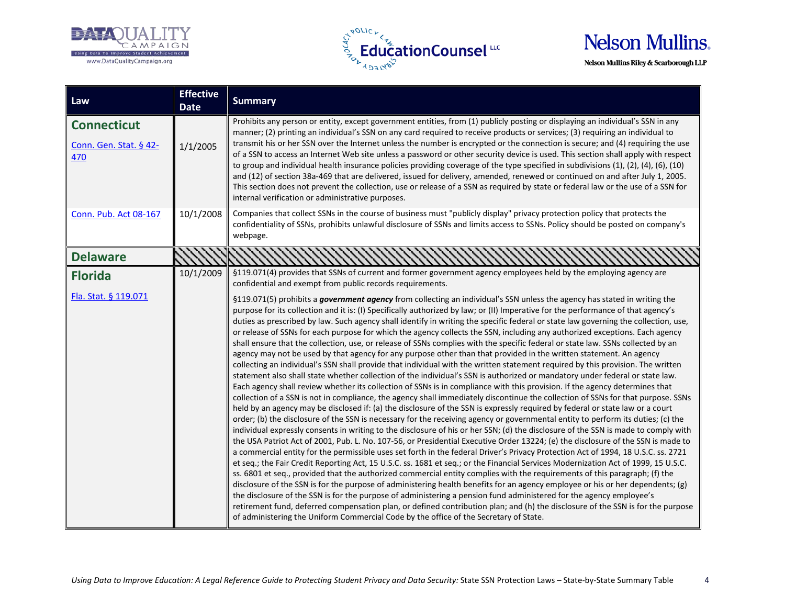





| Law                                                 | <b>Effective</b><br><b>Date</b> | <b>Summary</b>                                                                                                                                                                                                                                                                                                                                                                                                                                                                                                                                                                                                                                                                                                                                                                                                                                                                                                                                                                                                                                                                                                                                                                                                                                                                                                                                                                                                                                                                                                                                                                                                                                                                                                                                                                                                                                                                                                                                                                                                                                                                                                                                                                                                                                                                                                                                                                                                                                                                                                                                                                                                                                                                                                                                                                   |
|-----------------------------------------------------|---------------------------------|----------------------------------------------------------------------------------------------------------------------------------------------------------------------------------------------------------------------------------------------------------------------------------------------------------------------------------------------------------------------------------------------------------------------------------------------------------------------------------------------------------------------------------------------------------------------------------------------------------------------------------------------------------------------------------------------------------------------------------------------------------------------------------------------------------------------------------------------------------------------------------------------------------------------------------------------------------------------------------------------------------------------------------------------------------------------------------------------------------------------------------------------------------------------------------------------------------------------------------------------------------------------------------------------------------------------------------------------------------------------------------------------------------------------------------------------------------------------------------------------------------------------------------------------------------------------------------------------------------------------------------------------------------------------------------------------------------------------------------------------------------------------------------------------------------------------------------------------------------------------------------------------------------------------------------------------------------------------------------------------------------------------------------------------------------------------------------------------------------------------------------------------------------------------------------------------------------------------------------------------------------------------------------------------------------------------------------------------------------------------------------------------------------------------------------------------------------------------------------------------------------------------------------------------------------------------------------------------------------------------------------------------------------------------------------------------------------------------------------------------------------------------------------|
| <b>Connecticut</b><br>Conn. Gen. Stat. § 42-<br>470 | 1/1/2005                        | Prohibits any person or entity, except government entities, from (1) publicly posting or displaying an individual's SSN in any<br>manner; (2) printing an individual's SSN on any card required to receive products or services; (3) requiring an individual to<br>transmit his or her SSN over the Internet unless the number is encrypted or the connection is secure; and (4) requiring the use<br>of a SSN to access an Internet Web site unless a password or other security device is used. This section shall apply with respect<br>to group and individual health insurance policies providing coverage of the type specified in subdivisions (1), (2), (4), (6), (10)<br>and (12) of section 38a-469 that are delivered, issued for delivery, amended, renewed or continued on and after July 1, 2005.<br>This section does not prevent the collection, use or release of a SSN as required by state or federal law or the use of a SSN for<br>internal verification or administrative purposes.                                                                                                                                                                                                                                                                                                                                                                                                                                                                                                                                                                                                                                                                                                                                                                                                                                                                                                                                                                                                                                                                                                                                                                                                                                                                                                                                                                                                                                                                                                                                                                                                                                                                                                                                                                        |
| Conn. Pub. Act 08-167                               | 10/1/2008                       | Companies that collect SSNs in the course of business must "publicly display" privacy protection policy that protects the<br>confidentiality of SSNs, prohibits unlawful disclosure of SSNs and limits access to SSNs. Policy should be posted on company's<br>webpage.                                                                                                                                                                                                                                                                                                                                                                                                                                                                                                                                                                                                                                                                                                                                                                                                                                                                                                                                                                                                                                                                                                                                                                                                                                                                                                                                                                                                                                                                                                                                                                                                                                                                                                                                                                                                                                                                                                                                                                                                                                                                                                                                                                                                                                                                                                                                                                                                                                                                                                          |
| <b>Delaware</b>                                     |                                 |                                                                                                                                                                                                                                                                                                                                                                                                                                                                                                                                                                                                                                                                                                                                                                                                                                                                                                                                                                                                                                                                                                                                                                                                                                                                                                                                                                                                                                                                                                                                                                                                                                                                                                                                                                                                                                                                                                                                                                                                                                                                                                                                                                                                                                                                                                                                                                                                                                                                                                                                                                                                                                                                                                                                                                                  |
| <b>Florida</b>                                      | 10/1/2009                       | §119.071(4) provides that SSNs of current and former government agency employees held by the employing agency are<br>confidential and exempt from public records requirements.                                                                                                                                                                                                                                                                                                                                                                                                                                                                                                                                                                                                                                                                                                                                                                                                                                                                                                                                                                                                                                                                                                                                                                                                                                                                                                                                                                                                                                                                                                                                                                                                                                                                                                                                                                                                                                                                                                                                                                                                                                                                                                                                                                                                                                                                                                                                                                                                                                                                                                                                                                                                   |
| Fla. Stat. § 119.071                                |                                 | §119.071(5) prohibits a government agency from collecting an individual's SSN unless the agency has stated in writing the<br>purpose for its collection and it is: (I) Specifically authorized by law; or (II) Imperative for the performance of that agency's<br>duties as prescribed by law. Such agency shall identify in writing the specific federal or state law governing the collection, use,<br>or release of SSNs for each purpose for which the agency collects the SSN, including any authorized exceptions. Each agency<br>shall ensure that the collection, use, or release of SSNs complies with the specific federal or state law. SSNs collected by an<br>agency may not be used by that agency for any purpose other than that provided in the written statement. An agency<br>collecting an individual's SSN shall provide that individual with the written statement required by this provision. The written<br>statement also shall state whether collection of the individual's SSN is authorized or mandatory under federal or state law.<br>Each agency shall review whether its collection of SSNs is in compliance with this provision. If the agency determines that<br>collection of a SSN is not in compliance, the agency shall immediately discontinue the collection of SSNs for that purpose. SSNs<br>held by an agency may be disclosed if: (a) the disclosure of the SSN is expressly required by federal or state law or a court<br>order; (b) the disclosure of the SSN is necessary for the receiving agency or governmental entity to perform its duties; (c) the<br>individual expressly consents in writing to the disclosure of his or her SSN; (d) the disclosure of the SSN is made to comply with<br>the USA Patriot Act of 2001, Pub. L. No. 107-56, or Presidential Executive Order 13224; (e) the disclosure of the SSN is made to<br>a commercial entity for the permissible uses set forth in the federal Driver's Privacy Protection Act of 1994, 18 U.S.C. ss. 2721<br>et seq.; the Fair Credit Reporting Act, 15 U.S.C. ss. 1681 et seq.; or the Financial Services Modernization Act of 1999, 15 U.S.C.<br>ss. 6801 et seq., provided that the authorized commercial entity complies with the requirements of this paragraph; (f) the<br>disclosure of the SSN is for the purpose of administering health benefits for an agency employee or his or her dependents; (g)<br>the disclosure of the SSN is for the purpose of administering a pension fund administered for the agency employee's<br>retirement fund, deferred compensation plan, or defined contribution plan; and (h) the disclosure of the SSN is for the purpose<br>of administering the Uniform Commercial Code by the office of the Secretary of State. |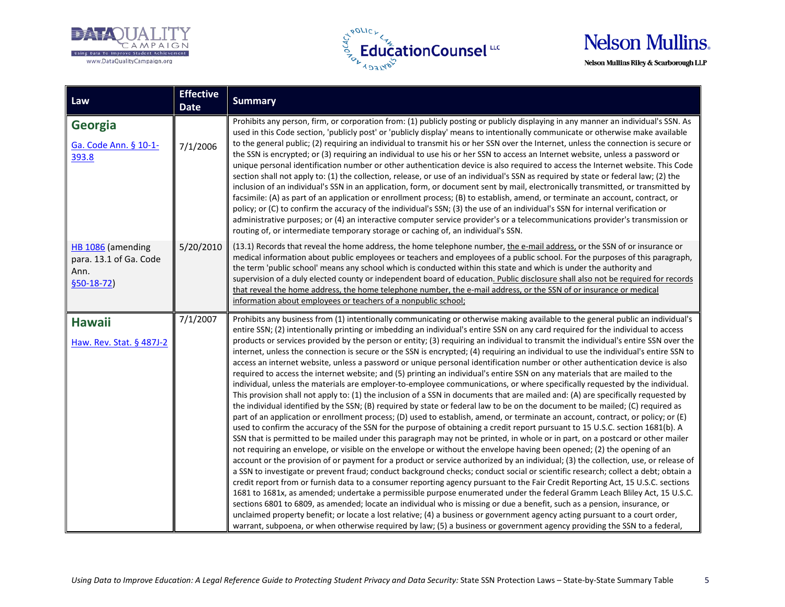





| Law                                                                 | <b>Effective</b><br><b>Date</b> | <b>Summary</b>                                                                                                                                                                                                                                                                                                                                                                                                                                                                                                                                                                                                                                                                                                                                                                                                                                                                                                                                                                                                                                                                                                                                                                                                                                                                                                                                                                                                                                                                                                                                                                                                                                                                                                                                                                                                                                                                                                                                                                                                                                                                                                                                                                                                                                                                                                                                                                                                                                                                                                                                                                                                                                                                                     |
|---------------------------------------------------------------------|---------------------------------|----------------------------------------------------------------------------------------------------------------------------------------------------------------------------------------------------------------------------------------------------------------------------------------------------------------------------------------------------------------------------------------------------------------------------------------------------------------------------------------------------------------------------------------------------------------------------------------------------------------------------------------------------------------------------------------------------------------------------------------------------------------------------------------------------------------------------------------------------------------------------------------------------------------------------------------------------------------------------------------------------------------------------------------------------------------------------------------------------------------------------------------------------------------------------------------------------------------------------------------------------------------------------------------------------------------------------------------------------------------------------------------------------------------------------------------------------------------------------------------------------------------------------------------------------------------------------------------------------------------------------------------------------------------------------------------------------------------------------------------------------------------------------------------------------------------------------------------------------------------------------------------------------------------------------------------------------------------------------------------------------------------------------------------------------------------------------------------------------------------------------------------------------------------------------------------------------------------------------------------------------------------------------------------------------------------------------------------------------------------------------------------------------------------------------------------------------------------------------------------------------------------------------------------------------------------------------------------------------------------------------------------------------------------------------------------------------|
| Georgia<br>Ga. Code Ann. § 10-1-<br>393.8                           | 7/1/2006                        | Prohibits any person, firm, or corporation from: (1) publicly posting or publicly displaying in any manner an individual's SSN. As<br>used in this Code section, 'publicly post' or 'publicly display' means to intentionally communicate or otherwise make available<br>to the general public; (2) requiring an individual to transmit his or her SSN over the Internet, unless the connection is secure or<br>the SSN is encrypted; or (3) requiring an individual to use his or her SSN to access an Internet website, unless a password or<br>unique personal identification number or other authentication device is also required to access the Internet website. This Code<br>section shall not apply to: (1) the collection, release, or use of an individual's SSN as required by state or federal law; (2) the<br>inclusion of an individual's SSN in an application, form, or document sent by mail, electronically transmitted, or transmitted by<br>facsimile: (A) as part of an application or enrollment process; (B) to establish, amend, or terminate an account, contract, or<br>policy; or (C) to confirm the accuracy of the individual's SSN; (3) the use of an individual's SSN for internal verification or<br>administrative purposes; or (4) an interactive computer service provider's or a telecommunications provider's transmission or<br>routing of, or intermediate temporary storage or caching of, an individual's SSN.                                                                                                                                                                                                                                                                                                                                                                                                                                                                                                                                                                                                                                                                                                                                                                                                                                                                                                                                                                                                                                                                                                                                                                                                                                           |
| HB 1086 (amending<br>para. 13.1 of Ga. Code<br>Ann.<br>$$50-18-72$$ | 5/20/2010                       | (13.1) Records that reveal the home address, the home telephone number, the e-mail address, or the SSN of or insurance or<br>medical information about public employees or teachers and employees of a public school. For the purposes of this paragraph,<br>the term 'public school' means any school which is conducted within this state and which is under the authority and<br>supervision of a duly elected county or independent board of education. Public disclosure shall also not be required for records<br>that reveal the home address, the home telephone number, the e-mail address, or the SSN of or insurance or medical<br>information about employees or teachers of a nonpublic school;                                                                                                                                                                                                                                                                                                                                                                                                                                                                                                                                                                                                                                                                                                                                                                                                                                                                                                                                                                                                                                                                                                                                                                                                                                                                                                                                                                                                                                                                                                                                                                                                                                                                                                                                                                                                                                                                                                                                                                                       |
| <b>Hawaii</b><br>Haw. Rev. Stat. § 487J-2                           | 7/1/2007                        | Prohibits any business from (1) intentionally communicating or otherwise making available to the general public an individual's<br>entire SSN; (2) intentionally printing or imbedding an individual's entire SSN on any card required for the individual to access<br>products or services provided by the person or entity; (3) requiring an individual to transmit the individual's entire SSN over the<br>internet, unless the connection is secure or the SSN is encrypted; (4) requiring an individual to use the individual's entire SSN to<br>access an internet website, unless a password or unique personal identification number or other authentication device is also<br>required to access the internet website; and (5) printing an individual's entire SSN on any materials that are mailed to the<br>individual, unless the materials are employer-to-employee communications, or where specifically requested by the individual.<br>This provision shall not apply to: (1) the inclusion of a SSN in documents that are mailed and: (A) are specifically requested by<br>the individual identified by the SSN; (B) required by state or federal law to be on the document to be mailed; (C) required as<br>part of an application or enrollment process; (D) used to establish, amend, or terminate an account, contract, or policy; or (E)<br>used to confirm the accuracy of the SSN for the purpose of obtaining a credit report pursuant to 15 U.S.C. section 1681(b). A<br>SSN that is permitted to be mailed under this paragraph may not be printed, in whole or in part, on a postcard or other mailer<br>not requiring an envelope, or visible on the envelope or without the envelope having been opened; (2) the opening of an<br>account or the provision of or payment for a product or service authorized by an individual; (3) the collection, use, or release of<br>a SSN to investigate or prevent fraud; conduct background checks; conduct social or scientific research; collect a debt; obtain a<br>credit report from or furnish data to a consumer reporting agency pursuant to the Fair Credit Reporting Act, 15 U.S.C. sections<br>1681 to 1681x, as amended; undertake a permissible purpose enumerated under the federal Gramm Leach Bliley Act, 15 U.S.C.<br>sections 6801 to 6809, as amended; locate an individual who is missing or due a benefit, such as a pension, insurance, or<br>unclaimed property benefit; or locate a lost relative; (4) a business or government agency acting pursuant to a court order,<br>warrant, subpoena, or when otherwise required by law; (5) a business or government agency providing the SSN to a federal, |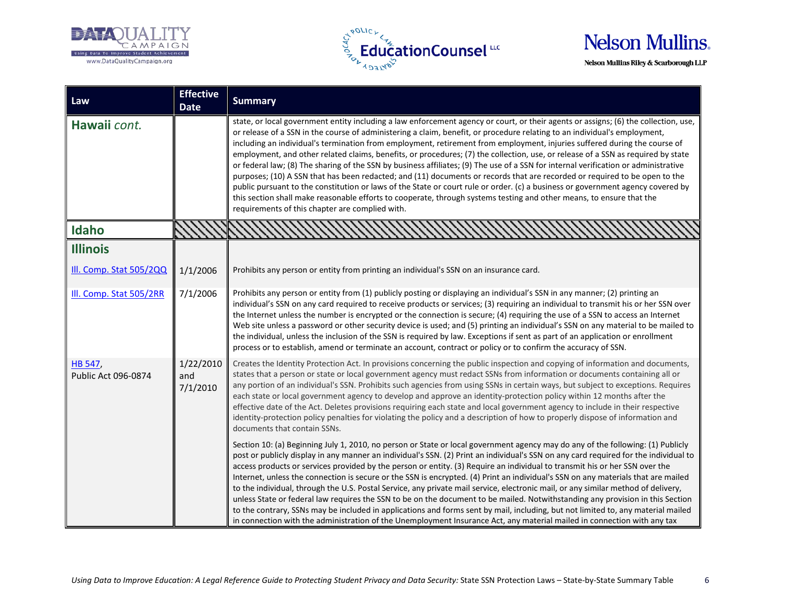





| Law                            | <b>Effective</b><br><b>Date</b> | <b>Summary</b>                                                                                                                                                                                                                                                                                                                                                                                                                                                                                                                                                                                                                                                                                                                                                                                                                                                                                                                                                                                                                                                                                                       |
|--------------------------------|---------------------------------|----------------------------------------------------------------------------------------------------------------------------------------------------------------------------------------------------------------------------------------------------------------------------------------------------------------------------------------------------------------------------------------------------------------------------------------------------------------------------------------------------------------------------------------------------------------------------------------------------------------------------------------------------------------------------------------------------------------------------------------------------------------------------------------------------------------------------------------------------------------------------------------------------------------------------------------------------------------------------------------------------------------------------------------------------------------------------------------------------------------------|
| Hawaii cont.                   |                                 | state, or local government entity including a law enforcement agency or court, or their agents or assigns; (6) the collection, use,<br>or release of a SSN in the course of administering a claim, benefit, or procedure relating to an individual's employment,<br>including an individual's termination from employment, retirement from employment, injuries suffered during the course of<br>employment, and other related claims, benefits, or procedures; (7) the collection, use, or release of a SSN as required by state<br>or federal law; (8) The sharing of the SSN by business affiliates; (9) The use of a SSN for internal verification or administrative<br>purposes; (10) A SSN that has been redacted; and (11) documents or records that are recorded or required to be open to the<br>public pursuant to the constitution or laws of the State or court rule or order. (c) a business or government agency covered by<br>this section shall make reasonable efforts to cooperate, through systems testing and other means, to ensure that the<br>requirements of this chapter are complied with. |
| Idaho                          |                                 |                                                                                                                                                                                                                                                                                                                                                                                                                                                                                                                                                                                                                                                                                                                                                                                                                                                                                                                                                                                                                                                                                                                      |
| <b>Illinois</b>                |                                 |                                                                                                                                                                                                                                                                                                                                                                                                                                                                                                                                                                                                                                                                                                                                                                                                                                                                                                                                                                                                                                                                                                                      |
| Ill. Comp. Stat 505/2QQ        | 1/1/2006                        | Prohibits any person or entity from printing an individual's SSN on an insurance card.                                                                                                                                                                                                                                                                                                                                                                                                                                                                                                                                                                                                                                                                                                                                                                                                                                                                                                                                                                                                                               |
| Ill. Comp. Stat 505/2RR        | 7/1/2006                        | Prohibits any person or entity from (1) publicly posting or displaying an individual's SSN in any manner; (2) printing an<br>individual's SSN on any card required to receive products or services; (3) requiring an individual to transmit his or her SSN over<br>the Internet unless the number is encrypted or the connection is secure; (4) requiring the use of a SSN to access an Internet<br>Web site unless a password or other security device is used; and (5) printing an individual's SSN on any material to be mailed to<br>the individual, unless the inclusion of the SSN is required by law. Exceptions if sent as part of an application or enrollment<br>process or to establish, amend or terminate an account, contract or policy or to confirm the accuracy of SSN.                                                                                                                                                                                                                                                                                                                             |
| HB 547,<br>Public Act 096-0874 | 1/22/2010<br>and<br>7/1/2010    | Creates the Identity Protection Act. In provisions concerning the public inspection and copying of information and documents,<br>states that a person or state or local government agency must redact SSNs from information or documents containing all or<br>any portion of an individual's SSN. Prohibits such agencies from using SSNs in certain ways, but subject to exceptions. Requires<br>each state or local government agency to develop and approve an identity-protection policy within 12 months after the<br>effective date of the Act. Deletes provisions requiring each state and local government agency to include in their respective<br>identity-protection policy penalties for violating the policy and a description of how to properly dispose of information and<br>documents that contain SSNs.                                                                                                                                                                                                                                                                                            |
|                                |                                 | Section 10: (a) Beginning July 1, 2010, no person or State or local government agency may do any of the following: (1) Publicly<br>post or publicly display in any manner an individual's SSN. (2) Print an individual's SSN on any card required for the individual to<br>access products or services provided by the person or entity. (3) Require an individual to transmit his or her SSN over the<br>Internet, unless the connection is secure or the SSN is encrypted. (4) Print an individual's SSN on any materials that are mailed<br>to the individual, through the U.S. Postal Service, any private mail service, electronic mail, or any similar method of delivery,<br>unless State or federal law requires the SSN to be on the document to be mailed. Notwithstanding any provision in this Section<br>to the contrary, SSNs may be included in applications and forms sent by mail, including, but not limited to, any material mailed<br>in connection with the administration of the Unemployment Insurance Act, any material mailed in connection with any tax                                    |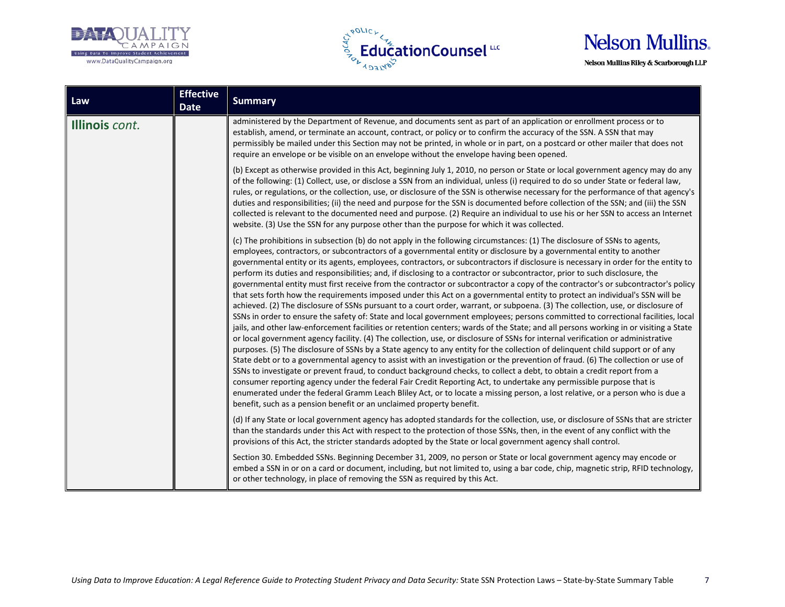





| Law            | <b>Effective</b><br><b>Date</b> | <b>Summary</b>                                                                                                                                                                                                                                                                                                                                                                                                                                                                                                                                                                                                                                                                                                                                                                                                                                                                                                                                                                                                                                                                                                                                                                                                                                                                                                                                                                                                                                                                                                                                                                                                                                                                                                                                                                                                                                                                                                                                                                                                                                                                                                                                                                                                                                                                                                                                                                                                                                                   |
|----------------|---------------------------------|------------------------------------------------------------------------------------------------------------------------------------------------------------------------------------------------------------------------------------------------------------------------------------------------------------------------------------------------------------------------------------------------------------------------------------------------------------------------------------------------------------------------------------------------------------------------------------------------------------------------------------------------------------------------------------------------------------------------------------------------------------------------------------------------------------------------------------------------------------------------------------------------------------------------------------------------------------------------------------------------------------------------------------------------------------------------------------------------------------------------------------------------------------------------------------------------------------------------------------------------------------------------------------------------------------------------------------------------------------------------------------------------------------------------------------------------------------------------------------------------------------------------------------------------------------------------------------------------------------------------------------------------------------------------------------------------------------------------------------------------------------------------------------------------------------------------------------------------------------------------------------------------------------------------------------------------------------------------------------------------------------------------------------------------------------------------------------------------------------------------------------------------------------------------------------------------------------------------------------------------------------------------------------------------------------------------------------------------------------------------------------------------------------------------------------------------------------------|
| Illinois cont. |                                 | administered by the Department of Revenue, and documents sent as part of an application or enrollment process or to<br>establish, amend, or terminate an account, contract, or policy or to confirm the accuracy of the SSN. A SSN that may<br>permissibly be mailed under this Section may not be printed, in whole or in part, on a postcard or other mailer that does not<br>require an envelope or be visible on an envelope without the envelope having been opened.                                                                                                                                                                                                                                                                                                                                                                                                                                                                                                                                                                                                                                                                                                                                                                                                                                                                                                                                                                                                                                                                                                                                                                                                                                                                                                                                                                                                                                                                                                                                                                                                                                                                                                                                                                                                                                                                                                                                                                                        |
|                |                                 | (b) Except as otherwise provided in this Act, beginning July 1, 2010, no person or State or local government agency may do any<br>of the following: (1) Collect, use, or disclose a SSN from an individual, unless (i) required to do so under State or federal law,<br>rules, or regulations, or the collection, use, or disclosure of the SSN is otherwise necessary for the performance of that agency's<br>duties and responsibilities; (ii) the need and purpose for the SSN is documented before collection of the SSN; and (iii) the SSN<br>collected is relevant to the documented need and purpose. (2) Require an individual to use his or her SSN to access an Internet<br>website. (3) Use the SSN for any purpose other than the purpose for which it was collected.                                                                                                                                                                                                                                                                                                                                                                                                                                                                                                                                                                                                                                                                                                                                                                                                                                                                                                                                                                                                                                                                                                                                                                                                                                                                                                                                                                                                                                                                                                                                                                                                                                                                                |
|                |                                 | (c) The prohibitions in subsection (b) do not apply in the following circumstances: (1) The disclosure of SSNs to agents,<br>employees, contractors, or subcontractors of a governmental entity or disclosure by a governmental entity to another<br>governmental entity or its agents, employees, contractors, or subcontractors if disclosure is necessary in order for the entity to<br>perform its duties and responsibilities; and, if disclosing to a contractor or subcontractor, prior to such disclosure, the<br>governmental entity must first receive from the contractor or subcontractor a copy of the contractor's or subcontractor's policy<br>that sets forth how the requirements imposed under this Act on a governmental entity to protect an individual's SSN will be<br>achieved. (2) The disclosure of SSNs pursuant to a court order, warrant, or subpoena. (3) The collection, use, or disclosure of<br>SSNs in order to ensure the safety of: State and local government employees; persons committed to correctional facilities, local<br>jails, and other law-enforcement facilities or retention centers; wards of the State; and all persons working in or visiting a State<br>or local government agency facility. (4) The collection, use, or disclosure of SSNs for internal verification or administrative<br>purposes. (5) The disclosure of SSNs by a State agency to any entity for the collection of delinquent child support or of any<br>State debt or to a governmental agency to assist with an investigation or the prevention of fraud. (6) The collection or use of<br>SSNs to investigate or prevent fraud, to conduct background checks, to collect a debt, to obtain a credit report from a<br>consumer reporting agency under the federal Fair Credit Reporting Act, to undertake any permissible purpose that is<br>enumerated under the federal Gramm Leach Bliley Act, or to locate a missing person, a lost relative, or a person who is due a<br>benefit, such as a pension benefit or an unclaimed property benefit.<br>(d) If any State or local government agency has adopted standards for the collection, use, or disclosure of SSNs that are stricter<br>than the standards under this Act with respect to the protection of those SSNs, then, in the event of any conflict with the<br>provisions of this Act, the stricter standards adopted by the State or local government agency shall control. |
|                |                                 | Section 30. Embedded SSNs. Beginning December 31, 2009, no person or State or local government agency may encode or<br>embed a SSN in or on a card or document, including, but not limited to, using a bar code, chip, magnetic strip, RFID technology,<br>or other technology, in place of removing the SSN as required by this Act.                                                                                                                                                                                                                                                                                                                                                                                                                                                                                                                                                                                                                                                                                                                                                                                                                                                                                                                                                                                                                                                                                                                                                                                                                                                                                                                                                                                                                                                                                                                                                                                                                                                                                                                                                                                                                                                                                                                                                                                                                                                                                                                            |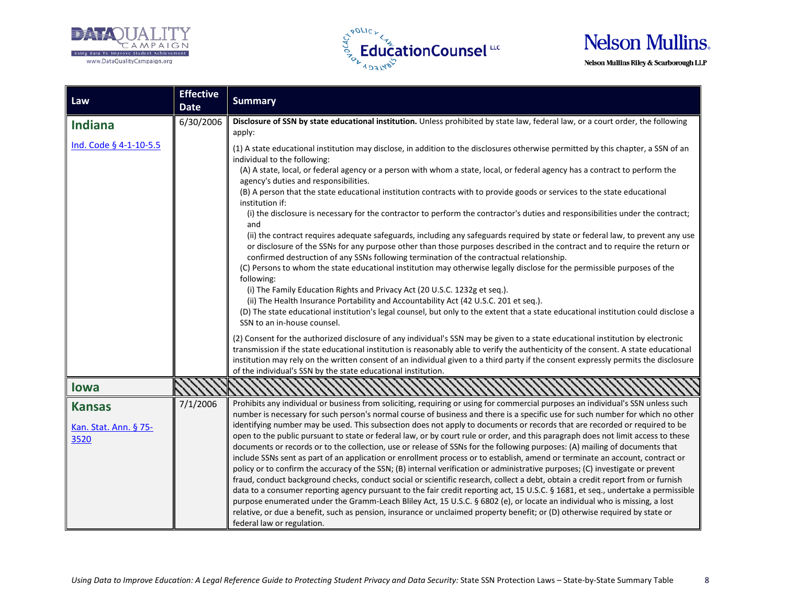





| Law                                            | <b>Effective</b><br><b>Date</b> | <b>Summary</b>                                                                                                                                                                                                                                                                                                                                                                                                                                                                                                                                                                                                                                                                                                                                                                                                                                                                                                                                                                                                                                                                                                                                                                                                                                                                                                                                                                                                                                                                      |
|------------------------------------------------|---------------------------------|-------------------------------------------------------------------------------------------------------------------------------------------------------------------------------------------------------------------------------------------------------------------------------------------------------------------------------------------------------------------------------------------------------------------------------------------------------------------------------------------------------------------------------------------------------------------------------------------------------------------------------------------------------------------------------------------------------------------------------------------------------------------------------------------------------------------------------------------------------------------------------------------------------------------------------------------------------------------------------------------------------------------------------------------------------------------------------------------------------------------------------------------------------------------------------------------------------------------------------------------------------------------------------------------------------------------------------------------------------------------------------------------------------------------------------------------------------------------------------------|
| <b>Indiana</b>                                 | 6/30/2006                       | Disclosure of SSN by state educational institution. Unless prohibited by state law, federal law, or a court order, the following<br>apply:                                                                                                                                                                                                                                                                                                                                                                                                                                                                                                                                                                                                                                                                                                                                                                                                                                                                                                                                                                                                                                                                                                                                                                                                                                                                                                                                          |
| Ind. Code § 4-1-10-5.5                         |                                 | (1) A state educational institution may disclose, in addition to the disclosures otherwise permitted by this chapter, a SSN of an<br>individual to the following:<br>(A) A state, local, or federal agency or a person with whom a state, local, or federal agency has a contract to perform the<br>agency's duties and responsibilities.<br>(B) A person that the state educational institution contracts with to provide goods or services to the state educational<br>institution if:<br>(i) the disclosure is necessary for the contractor to perform the contractor's duties and responsibilities under the contract;<br>and<br>(ii) the contract requires adequate safeguards, including any safeguards required by state or federal law, to prevent any use<br>or disclosure of the SSNs for any purpose other than those purposes described in the contract and to require the return or<br>confirmed destruction of any SSNs following termination of the contractual relationship.<br>(C) Persons to whom the state educational institution may otherwise legally disclose for the permissible purposes of the<br>following:<br>(i) The Family Education Rights and Privacy Act (20 U.S.C. 1232g et seq.).<br>(ii) The Health Insurance Portability and Accountability Act (42 U.S.C. 201 et seq.).<br>(D) The state educational institution's legal counsel, but only to the extent that a state educational institution could disclose a<br>SSN to an in-house counsel. |
|                                                |                                 | (2) Consent for the authorized disclosure of any individual's SSN may be given to a state educational institution by electronic<br>transmission if the state educational institution is reasonably able to verify the authenticity of the consent. A state educational<br>institution may rely on the written consent of an individual given to a third party if the consent expressly permits the disclosure<br>of the individual's SSN by the state educational institution.                                                                                                                                                                                                                                                                                                                                                                                                                                                                                                                                                                                                                                                                                                                                                                                                                                                                                                                                                                                                      |
| <b>lowa</b>                                    |                                 |                                                                                                                                                                                                                                                                                                                                                                                                                                                                                                                                                                                                                                                                                                                                                                                                                                                                                                                                                                                                                                                                                                                                                                                                                                                                                                                                                                                                                                                                                     |
| <b>Kansas</b><br>Kan. Stat. Ann. § 75-<br>3520 | 7/1/2006                        | Prohibits any individual or business from soliciting, requiring or using for commercial purposes an individual's SSN unless such<br>number is necessary for such person's normal course of business and there is a specific use for such number for which no other<br>identifying number may be used. This subsection does not apply to documents or records that are recorded or required to be<br>open to the public pursuant to state or federal law, or by court rule or order, and this paragraph does not limit access to these<br>documents or records or to the collection, use or release of SSNs for the following purposes: (A) mailing of documents that<br>include SSNs sent as part of an application or enrollment process or to establish, amend or terminate an account, contract or<br>policy or to confirm the accuracy of the SSN; (B) internal verification or administrative purposes; (C) investigate or prevent<br>fraud, conduct background checks, conduct social or scientific research, collect a debt, obtain a credit report from or furnish<br>data to a consumer reporting agency pursuant to the fair credit reporting act, 15 U.S.C. § 1681, et seq., undertake a permissible<br>purpose enumerated under the Gramm-Leach Bliley Act, 15 U.S.C. § 6802 (e), or locate an individual who is missing, a lost                                                                                                                                        |
|                                                |                                 | relative, or due a benefit, such as pension, insurance or unclaimed property benefit; or (D) otherwise required by state or<br>federal law or regulation.                                                                                                                                                                                                                                                                                                                                                                                                                                                                                                                                                                                                                                                                                                                                                                                                                                                                                                                                                                                                                                                                                                                                                                                                                                                                                                                           |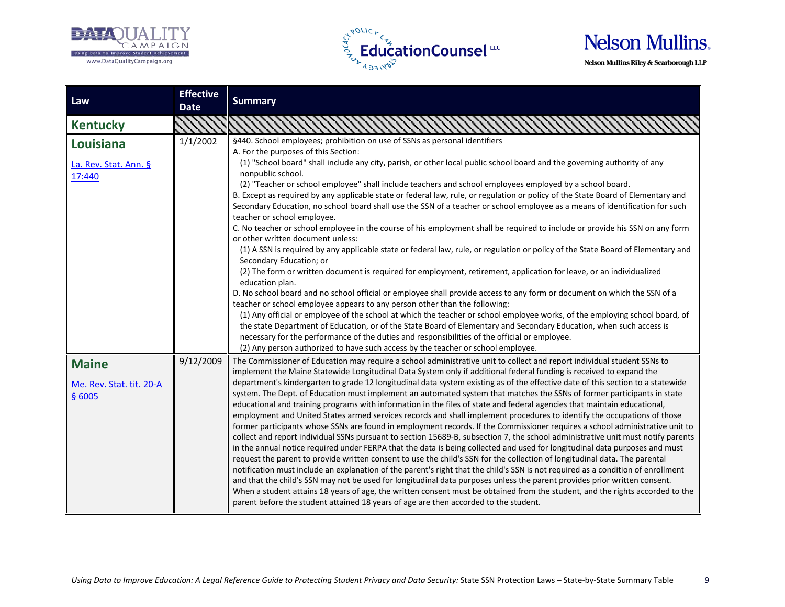





| Law                      | <b>Effective</b> | <b>Summary</b>                                                                                                                                                                                                                                                |
|--------------------------|------------------|---------------------------------------------------------------------------------------------------------------------------------------------------------------------------------------------------------------------------------------------------------------|
|                          | <b>Date</b>      |                                                                                                                                                                                                                                                               |
| <b>Kentucky</b>          |                  |                                                                                                                                                                                                                                                               |
| Louisiana                | 1/1/2002         | §440. School employees; prohibition on use of SSNs as personal identifiers                                                                                                                                                                                    |
|                          |                  | A. For the purposes of this Section:                                                                                                                                                                                                                          |
| La. Rev. Stat. Ann. §    |                  | (1) "School board" shall include any city, parish, or other local public school board and the governing authority of any<br>nonpublic school.                                                                                                                 |
| 17:440                   |                  | (2) "Teacher or school employee" shall include teachers and school employees employed by a school board.                                                                                                                                                      |
|                          |                  | B. Except as required by any applicable state or federal law, rule, or regulation or policy of the State Board of Elementary and                                                                                                                              |
|                          |                  | Secondary Education, no school board shall use the SSN of a teacher or school employee as a means of identification for such<br>teacher or school employee.                                                                                                   |
|                          |                  | C. No teacher or school employee in the course of his employment shall be required to include or provide his SSN on any form                                                                                                                                  |
|                          |                  | or other written document unless:                                                                                                                                                                                                                             |
|                          |                  | (1) A SSN is required by any applicable state or federal law, rule, or regulation or policy of the State Board of Elementary and<br>Secondary Education; or                                                                                                   |
|                          |                  | (2) The form or written document is required for employment, retirement, application for leave, or an individualized                                                                                                                                          |
|                          |                  | education plan.                                                                                                                                                                                                                                               |
|                          |                  | D. No school board and no school official or employee shall provide access to any form or document on which the SSN of a                                                                                                                                      |
|                          |                  | teacher or school employee appears to any person other than the following:                                                                                                                                                                                    |
|                          |                  | (1) Any official or employee of the school at which the teacher or school employee works, of the employing school board, of                                                                                                                                   |
|                          |                  | the state Department of Education, or of the State Board of Elementary and Secondary Education, when such access is<br>necessary for the performance of the duties and responsibilities of the official or employee.                                          |
|                          |                  | (2) Any person authorized to have such access by the teacher or school employee.                                                                                                                                                                              |
|                          | 9/12/2009        | The Commissioner of Education may require a school administrative unit to collect and report individual student SSNs to                                                                                                                                       |
| <b>Maine</b>             |                  | implement the Maine Statewide Longitudinal Data System only if additional federal funding is received to expand the                                                                                                                                           |
| Me. Rev. Stat. tit. 20-A |                  | department's kindergarten to grade 12 longitudinal data system existing as of the effective date of this section to a statewide                                                                                                                               |
| § 6005                   |                  | system. The Dept. of Education must implement an automated system that matches the SSNs of former participants in state                                                                                                                                       |
|                          |                  | educational and training programs with information in the files of state and federal agencies that maintain educational,                                                                                                                                      |
|                          |                  | employment and United States armed services records and shall implement procedures to identify the occupations of those                                                                                                                                       |
|                          |                  | former participants whose SSNs are found in employment records. If the Commissioner requires a school administrative unit to                                                                                                                                  |
|                          |                  | collect and report individual SSNs pursuant to section 15689-B, subsection 7, the school administrative unit must notify parents                                                                                                                              |
|                          |                  | in the annual notice required under FERPA that the data is being collected and used for longitudinal data purposes and must                                                                                                                                   |
|                          |                  | request the parent to provide written consent to use the child's SSN for the collection of longitudinal data. The parental                                                                                                                                    |
|                          |                  | notification must include an explanation of the parent's right that the child's SSN is not required as a condition of enrollment<br>and that the child's SSN may not be used for longitudinal data purposes unless the parent provides prior written consent. |
|                          |                  | When a student attains 18 years of age, the written consent must be obtained from the student, and the rights accorded to the                                                                                                                                 |
|                          |                  | parent before the student attained 18 years of age are then accorded to the student.                                                                                                                                                                          |
|                          |                  |                                                                                                                                                                                                                                                               |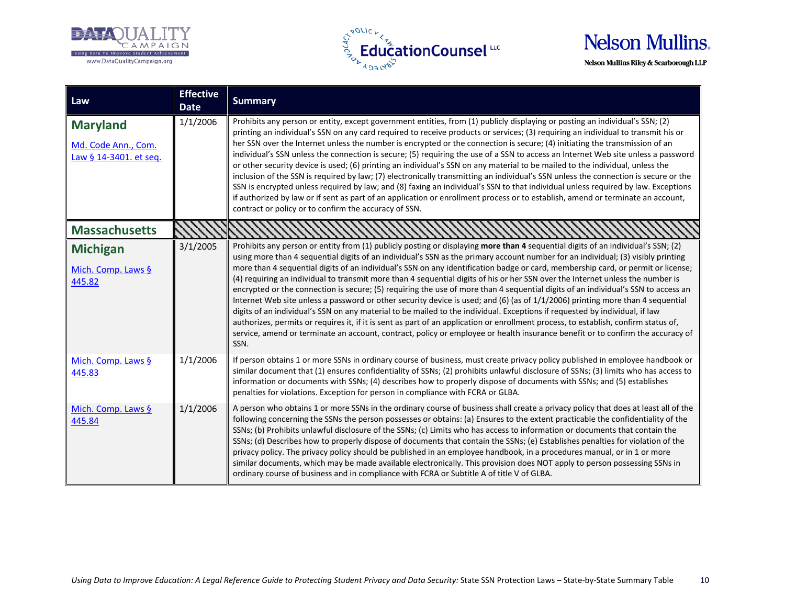





| Law                                                              | <b>Effective</b><br><b>Date</b> | <b>Summary</b>                                                                                                                                                                                                                                                                                                                                                                                                                                                                                                                                                                                                                                                                                                                                                                                                                                                                                                                                                                                                                                                                                                                                                                                                                       |
|------------------------------------------------------------------|---------------------------------|--------------------------------------------------------------------------------------------------------------------------------------------------------------------------------------------------------------------------------------------------------------------------------------------------------------------------------------------------------------------------------------------------------------------------------------------------------------------------------------------------------------------------------------------------------------------------------------------------------------------------------------------------------------------------------------------------------------------------------------------------------------------------------------------------------------------------------------------------------------------------------------------------------------------------------------------------------------------------------------------------------------------------------------------------------------------------------------------------------------------------------------------------------------------------------------------------------------------------------------|
| <b>Maryland</b><br>Md. Code Ann., Com.<br>Law § 14-3401. et seq. | 1/1/2006                        | Prohibits any person or entity, except government entities, from (1) publicly displaying or posting an individual's SSN; (2)<br>printing an individual's SSN on any card required to receive products or services; (3) requiring an individual to transmit his or<br>her SSN over the Internet unless the number is encrypted or the connection is secure; (4) initiating the transmission of an<br>individual's SSN unless the connection is secure; (5) requiring the use of a SSN to access an Internet Web site unless a password<br>or other security device is used; (6) printing an individual's SSN on any material to be mailed to the individual, unless the<br>inclusion of the SSN is required by law; (7) electronically transmitting an individual's SSN unless the connection is secure or the<br>SSN is encrypted unless required by law; and (8) faxing an individual's SSN to that individual unless required by law. Exceptions<br>if authorized by law or if sent as part of an application or enrollment process or to establish, amend or terminate an account,<br>contract or policy or to confirm the accuracy of SSN.                                                                                       |
| <b>Massachusetts</b>                                             |                                 |                                                                                                                                                                                                                                                                                                                                                                                                                                                                                                                                                                                                                                                                                                                                                                                                                                                                                                                                                                                                                                                                                                                                                                                                                                      |
| <b>Michigan</b><br>Mich. Comp. Laws §<br>445.82                  | 3/1/2005                        | Prohibits any person or entity from (1) publicly posting or displaying more than 4 sequential digits of an individual's SSN; (2)<br>using more than 4 sequential digits of an individual's SSN as the primary account number for an individual; (3) visibly printing<br>more than 4 sequential digits of an individual's SSN on any identification badge or card, membership card, or permit or license;<br>(4) requiring an individual to transmit more than 4 sequential digits of his or her SSN over the Internet unless the number is<br>encrypted or the connection is secure; (5) requiring the use of more than 4 sequential digits of an individual's SSN to access an<br>Internet Web site unless a password or other security device is used; and (6) (as of $1/1/2006$ ) printing more than 4 sequential<br>digits of an individual's SSN on any material to be mailed to the individual. Exceptions if requested by individual, if law<br>authorizes, permits or requires it, if it is sent as part of an application or enrollment process, to establish, confirm status of,<br>service, amend or terminate an account, contract, policy or employee or health insurance benefit or to confirm the accuracy of<br>SSN. |
| Mich. Comp. Laws §<br>445.83                                     | 1/1/2006                        | If person obtains 1 or more SSNs in ordinary course of business, must create privacy policy published in employee handbook or<br>similar document that (1) ensures confidentiality of SSNs; (2) prohibits unlawful disclosure of SSNs; (3) limits who has access to<br>information or documents with SSNs; (4) describes how to properly dispose of documents with SSNs; and (5) establishes<br>penalties for violations. Exception for person in compliance with FCRA or GLBA.                                                                                                                                                                                                                                                                                                                                                                                                                                                                                                                                                                                                                                                                                                                                                      |
| Mich. Comp. Laws §<br>445.84                                     | 1/1/2006                        | A person who obtains 1 or more SSNs in the ordinary course of business shall create a privacy policy that does at least all of the<br>following concerning the SSNs the person possesses or obtains: (a) Ensures to the extent practicable the confidentiality of the<br>SSNs; (b) Prohibits unlawful disclosure of the SSNs; (c) Limits who has access to information or documents that contain the<br>SSNs; (d) Describes how to properly dispose of documents that contain the SSNs; (e) Establishes penalties for violation of the<br>privacy policy. The privacy policy should be published in an employee handbook, in a procedures manual, or in 1 or more<br>similar documents, which may be made available electronically. This provision does NOT apply to person possessing SSNs in<br>ordinary course of business and in compliance with FCRA or Subtitle A of title V of GLBA.                                                                                                                                                                                                                                                                                                                                          |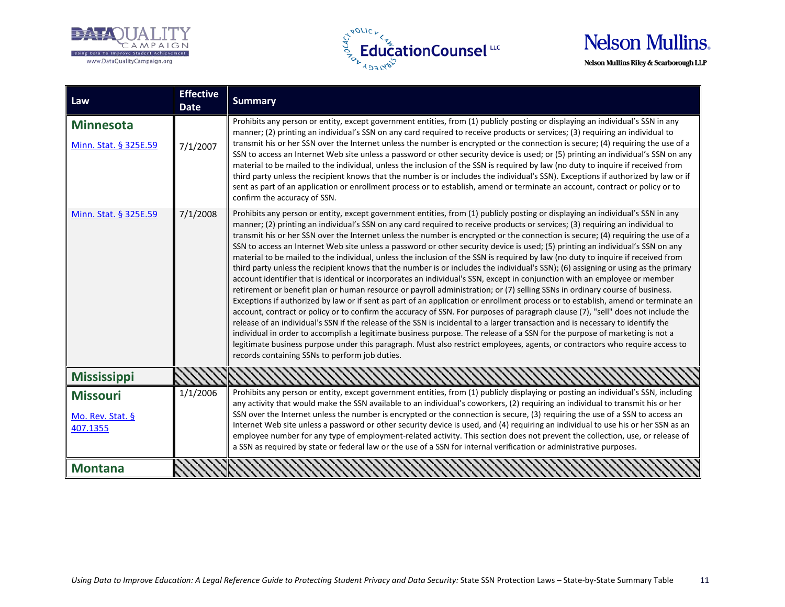





| Law                                       | <b>Effective</b><br><b>Date</b> | <b>Summary</b>                                                                                                                                                                                                                                                                                                                                                                                                                                                                                                                                                                                                                                                                                                                                                                                                                                                                                                                                                                                                                                                                                                                                                                                                                                                                                                                                                                                                                                                                                                                                                                                                                                                                                                                                                                                            |
|-------------------------------------------|---------------------------------|-----------------------------------------------------------------------------------------------------------------------------------------------------------------------------------------------------------------------------------------------------------------------------------------------------------------------------------------------------------------------------------------------------------------------------------------------------------------------------------------------------------------------------------------------------------------------------------------------------------------------------------------------------------------------------------------------------------------------------------------------------------------------------------------------------------------------------------------------------------------------------------------------------------------------------------------------------------------------------------------------------------------------------------------------------------------------------------------------------------------------------------------------------------------------------------------------------------------------------------------------------------------------------------------------------------------------------------------------------------------------------------------------------------------------------------------------------------------------------------------------------------------------------------------------------------------------------------------------------------------------------------------------------------------------------------------------------------------------------------------------------------------------------------------------------------|
| <b>Minnesota</b><br>Minn. Stat. § 325E.59 | 7/1/2007                        | Prohibits any person or entity, except government entities, from (1) publicly posting or displaying an individual's SSN in any<br>manner; (2) printing an individual's SSN on any card required to receive products or services; (3) requiring an individual to<br>transmit his or her SSN over the Internet unless the number is encrypted or the connection is secure; (4) requiring the use of a<br>SSN to access an Internet Web site unless a password or other security device is used; or (5) printing an individual's SSN on any<br>material to be mailed to the individual, unless the inclusion of the SSN is required by law (no duty to inquire if received from<br>third party unless the recipient knows that the number is or includes the individual's SSN). Exceptions if authorized by law or if<br>sent as part of an application or enrollment process or to establish, amend or terminate an account, contract or policy or to<br>confirm the accuracy of SSN.                                                                                                                                                                                                                                                                                                                                                                                                                                                                                                                                                                                                                                                                                                                                                                                                                       |
| Minn. Stat. § 325E.59                     | 7/1/2008                        | Prohibits any person or entity, except government entities, from (1) publicly posting or displaying an individual's SSN in any<br>manner; (2) printing an individual's SSN on any card required to receive products or services; (3) requiring an individual to<br>transmit his or her SSN over the Internet unless the number is encrypted or the connection is secure; (4) requiring the use of a<br>SSN to access an Internet Web site unless a password or other security device is used; (5) printing an individual's SSN on any<br>material to be mailed to the individual, unless the inclusion of the SSN is required by law (no duty to inquire if received from<br>third party unless the recipient knows that the number is or includes the individual's SSN); (6) assigning or using as the primary<br>account identifier that is identical or incorporates an individual's SSN, except in conjunction with an employee or member<br>retirement or benefit plan or human resource or payroll administration; or (7) selling SSNs in ordinary course of business.<br>Exceptions if authorized by law or if sent as part of an application or enrollment process or to establish, amend or terminate an<br>account, contract or policy or to confirm the accuracy of SSN. For purposes of paragraph clause (7), "sell" does not include the<br>release of an individual's SSN if the release of the SSN is incidental to a larger transaction and is necessary to identify the<br>individual in order to accomplish a legitimate business purpose. The release of a SSN for the purpose of marketing is not a<br>legitimate business purpose under this paragraph. Must also restrict employees, agents, or contractors who require access to<br>records containing SSNs to perform job duties. |
| <b>Mississippi</b>                        |                                 |                                                                                                                                                                                                                                                                                                                                                                                                                                                                                                                                                                                                                                                                                                                                                                                                                                                                                                                                                                                                                                                                                                                                                                                                                                                                                                                                                                                                                                                                                                                                                                                                                                                                                                                                                                                                           |
| <b>Missouri</b>                           | 1/1/2006                        | Prohibits any person or entity, except government entities, from (1) publicly displaying or posting an individual's SSN, including<br>any activity that would make the SSN available to an individual's coworkers, (2) requiring an individual to transmit his or her                                                                                                                                                                                                                                                                                                                                                                                                                                                                                                                                                                                                                                                                                                                                                                                                                                                                                                                                                                                                                                                                                                                                                                                                                                                                                                                                                                                                                                                                                                                                     |
| Mo. Rev. Stat. §<br>407.1355              |                                 | SSN over the Internet unless the number is encrypted or the connection is secure, (3) requiring the use of a SSN to access an<br>Internet Web site unless a password or other security device is used, and (4) requiring an individual to use his or her SSN as an<br>employee number for any type of employment-related activity. This section does not prevent the collection, use, or release of<br>a SSN as required by state or federal law or the use of a SSN for internal verification or administrative purposes.                                                                                                                                                                                                                                                                                                                                                                                                                                                                                                                                                                                                                                                                                                                                                                                                                                                                                                                                                                                                                                                                                                                                                                                                                                                                                |
| <b>Montana</b>                            |                                 |                                                                                                                                                                                                                                                                                                                                                                                                                                                                                                                                                                                                                                                                                                                                                                                                                                                                                                                                                                                                                                                                                                                                                                                                                                                                                                                                                                                                                                                                                                                                                                                                                                                                                                                                                                                                           |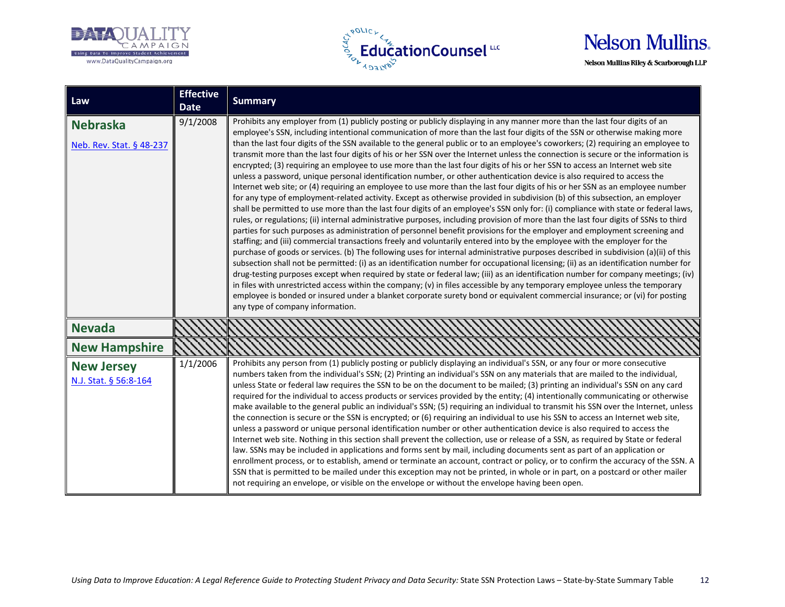





| Law                                         | <b>Effective</b><br><b>Date</b> | <b>Summary</b>                                                                                                                                                                                                                                                                                                                                                                                                                                                                                                                                                                                                                                                                                                                                                                                                                                                                                                                                                                                                                                                                                                                                                                                                                                                                                                                                                                                                                                                                                                                                                                                                                                                                                                                                                                                                                                                                                                                                                                                                                                                                                                                                                                                                                                                                                                           |
|---------------------------------------------|---------------------------------|--------------------------------------------------------------------------------------------------------------------------------------------------------------------------------------------------------------------------------------------------------------------------------------------------------------------------------------------------------------------------------------------------------------------------------------------------------------------------------------------------------------------------------------------------------------------------------------------------------------------------------------------------------------------------------------------------------------------------------------------------------------------------------------------------------------------------------------------------------------------------------------------------------------------------------------------------------------------------------------------------------------------------------------------------------------------------------------------------------------------------------------------------------------------------------------------------------------------------------------------------------------------------------------------------------------------------------------------------------------------------------------------------------------------------------------------------------------------------------------------------------------------------------------------------------------------------------------------------------------------------------------------------------------------------------------------------------------------------------------------------------------------------------------------------------------------------------------------------------------------------------------------------------------------------------------------------------------------------------------------------------------------------------------------------------------------------------------------------------------------------------------------------------------------------------------------------------------------------------------------------------------------------------------------------------------------------|
| <b>Nebraska</b><br>Neb. Rev. Stat. § 48-237 | 9/1/2008                        | Prohibits any employer from (1) publicly posting or publicly displaying in any manner more than the last four digits of an<br>employee's SSN, including intentional communication of more than the last four digits of the SSN or otherwise making more<br>than the last four digits of the SSN available to the general public or to an employee's coworkers; (2) requiring an employee to<br>transmit more than the last four digits of his or her SSN over the Internet unless the connection is secure or the information is<br>encrypted; (3) requiring an employee to use more than the last four digits of his or her SSN to access an Internet web site<br>unless a password, unique personal identification number, or other authentication device is also required to access the<br>Internet web site; or (4) requiring an employee to use more than the last four digits of his or her SSN as an employee number<br>for any type of employment-related activity. Except as otherwise provided in subdivision (b) of this subsection, an employer<br>shall be permitted to use more than the last four digits of an employee's SSN only for: (i) compliance with state or federal laws,<br>rules, or regulations; (ii) internal administrative purposes, including provision of more than the last four digits of SSNs to third<br>parties for such purposes as administration of personnel benefit provisions for the employer and employment screening and<br>staffing; and (iii) commercial transactions freely and voluntarily entered into by the employee with the employer for the<br>purchase of goods or services. (b) The following uses for internal administrative purposes described in subdivision (a)(ii) of this<br>subsection shall not be permitted: (i) as an identification number for occupational licensing; (ii) as an identification number for<br>drug-testing purposes except when required by state or federal law; (iii) as an identification number for company meetings; (iv)<br>in files with unrestricted access within the company; (v) in files accessible by any temporary employee unless the temporary<br>employee is bonded or insured under a blanket corporate surety bond or equivalent commercial insurance; or (vi) for posting<br>any type of company information. |
| <b>Nevada</b>                               |                                 |                                                                                                                                                                                                                                                                                                                                                                                                                                                                                                                                                                                                                                                                                                                                                                                                                                                                                                                                                                                                                                                                                                                                                                                                                                                                                                                                                                                                                                                                                                                                                                                                                                                                                                                                                                                                                                                                                                                                                                                                                                                                                                                                                                                                                                                                                                                          |
| <b>New Hampshire</b>                        |                                 |                                                                                                                                                                                                                                                                                                                                                                                                                                                                                                                                                                                                                                                                                                                                                                                                                                                                                                                                                                                                                                                                                                                                                                                                                                                                                                                                                                                                                                                                                                                                                                                                                                                                                                                                                                                                                                                                                                                                                                                                                                                                                                                                                                                                                                                                                                                          |
| <b>New Jersey</b><br>N.J. Stat. § 56:8-164  | 1/1/2006                        | Prohibits any person from (1) publicly posting or publicly displaying an individual's SSN, or any four or more consecutive<br>numbers taken from the individual's SSN; (2) Printing an individual's SSN on any materials that are mailed to the individual,<br>unless State or federal law requires the SSN to be on the document to be mailed; (3) printing an individual's SSN on any card<br>required for the individual to access products or services provided by the entity; (4) intentionally communicating or otherwise<br>make available to the general public an individual's SSN; (5) requiring an individual to transmit his SSN over the Internet, unless<br>the connection is secure or the SSN is encrypted; or (6) requiring an individual to use his SSN to access an Internet web site,<br>unless a password or unique personal identification number or other authentication device is also required to access the<br>Internet web site. Nothing in this section shall prevent the collection, use or release of a SSN, as required by State or federal<br>law. SSNs may be included in applications and forms sent by mail, including documents sent as part of an application or<br>enrollment process, or to establish, amend or terminate an account, contract or policy, or to confirm the accuracy of the SSN. A<br>SSN that is permitted to be mailed under this exception may not be printed, in whole or in part, on a postcard or other mailer<br>not requiring an envelope, or visible on the envelope or without the envelope having been open.                                                                                                                                                                                                                                                                                                                                                                                                                                                                                                                                                                                                                                                                                                                                           |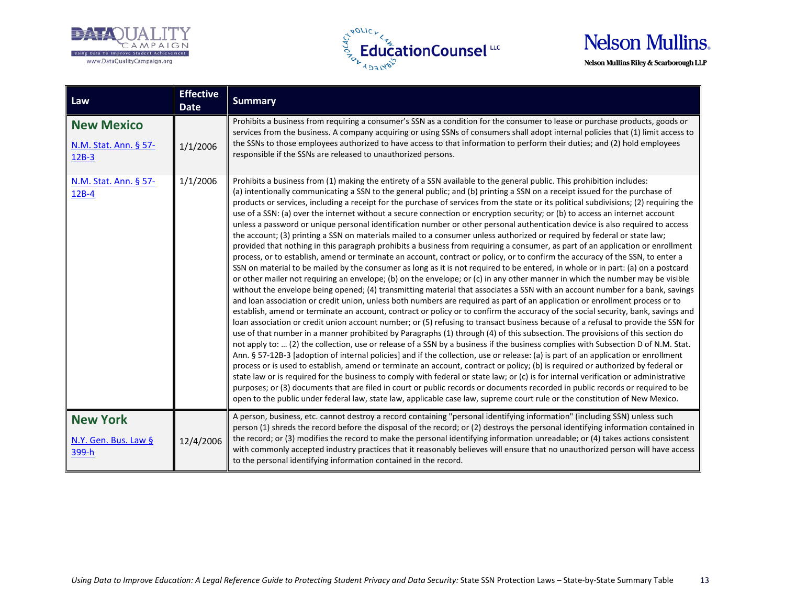





| Law                                                   | <b>Effective</b><br><b>Date</b> | <b>Summary</b>                                                                                                                                                                                                                                                                                                                                                                                                                                                                                                                                                                                                                                                                                                                                                                                                                                                                                                                                                                                                                                                                                                                                                                                                                                                                                                                                                                                                                                                                                                                                                                                                                                                                                                                                                                                                                                                                                                                                                                                                                                                                                                                                                                                                                                                                                                                                                                                                                                                                                                                                                                                                                                                                                                                                                                                                                            |
|-------------------------------------------------------|---------------------------------|-------------------------------------------------------------------------------------------------------------------------------------------------------------------------------------------------------------------------------------------------------------------------------------------------------------------------------------------------------------------------------------------------------------------------------------------------------------------------------------------------------------------------------------------------------------------------------------------------------------------------------------------------------------------------------------------------------------------------------------------------------------------------------------------------------------------------------------------------------------------------------------------------------------------------------------------------------------------------------------------------------------------------------------------------------------------------------------------------------------------------------------------------------------------------------------------------------------------------------------------------------------------------------------------------------------------------------------------------------------------------------------------------------------------------------------------------------------------------------------------------------------------------------------------------------------------------------------------------------------------------------------------------------------------------------------------------------------------------------------------------------------------------------------------------------------------------------------------------------------------------------------------------------------------------------------------------------------------------------------------------------------------------------------------------------------------------------------------------------------------------------------------------------------------------------------------------------------------------------------------------------------------------------------------------------------------------------------------------------------------------------------------------------------------------------------------------------------------------------------------------------------------------------------------------------------------------------------------------------------------------------------------------------------------------------------------------------------------------------------------------------------------------------------------------------------------------------------------|
| <b>New Mexico</b><br>N.M. Stat. Ann. § 57-<br>$12B-3$ | 1/1/2006                        | Prohibits a business from requiring a consumer's SSN as a condition for the consumer to lease or purchase products, goods or<br>services from the business. A company acquiring or using SSNs of consumers shall adopt internal policies that (1) limit access to<br>the SSNs to those employees authorized to have access to that information to perform their duties; and (2) hold employees<br>responsible if the SSNs are released to unauthorized persons.                                                                                                                                                                                                                                                                                                                                                                                                                                                                                                                                                                                                                                                                                                                                                                                                                                                                                                                                                                                                                                                                                                                                                                                                                                                                                                                                                                                                                                                                                                                                                                                                                                                                                                                                                                                                                                                                                                                                                                                                                                                                                                                                                                                                                                                                                                                                                                           |
| N.M. Stat. Ann. § 57-<br>$12B-4$                      | 1/1/2006                        | Prohibits a business from (1) making the entirety of a SSN available to the general public. This prohibition includes:<br>(a) intentionally communicating a SSN to the general public; and (b) printing a SSN on a receipt issued for the purchase of<br>products or services, including a receipt for the purchase of services from the state or its political subdivisions; (2) requiring the<br>use of a SSN: (a) over the internet without a secure connection or encryption security; or (b) to access an internet account<br>unless a password or unique personal identification number or other personal authentication device is also required to access<br>the account; (3) printing a SSN on materials mailed to a consumer unless authorized or required by federal or state law;<br>provided that nothing in this paragraph prohibits a business from requiring a consumer, as part of an application or enrollment<br>process, or to establish, amend or terminate an account, contract or policy, or to confirm the accuracy of the SSN, to enter a<br>SSN on material to be mailed by the consumer as long as it is not required to be entered, in whole or in part: (a) on a postcard<br>or other mailer not requiring an envelope; (b) on the envelope; or (c) in any other manner in which the number may be visible<br>without the envelope being opened; (4) transmitting material that associates a SSN with an account number for a bank, savings<br>and loan association or credit union, unless both numbers are required as part of an application or enrollment process or to<br>establish, amend or terminate an account, contract or policy or to confirm the accuracy of the social security, bank, savings and<br>loan association or credit union account number; or (5) refusing to transact business because of a refusal to provide the SSN for<br>use of that number in a manner prohibited by Paragraphs (1) through (4) of this subsection. The provisions of this section do<br>not apply to:  (2) the collection, use or release of a SSN by a business if the business complies with Subsection D of N.M. Stat.<br>Ann. § 57-12B-3 [adoption of internal policies] and if the collection, use or release: (a) is part of an application or enrollment<br>process or is used to establish, amend or terminate an account, contract or policy; (b) is required or authorized by federal or<br>state law or is required for the business to comply with federal or state law; or (c) is for internal verification or administrative<br>purposes; or (3) documents that are filed in court or public records or documents recorded in public records or required to be<br>open to the public under federal law, state law, applicable case law, supreme court rule or the constitution of New Mexico. |
| <b>New York</b><br>N.Y. Gen. Bus. Law §<br>399-h      | 12/4/2006                       | A person, business, etc. cannot destroy a record containing "personal identifying information" (including SSN) unless such<br>person (1) shreds the record before the disposal of the record; or (2) destroys the personal identifying information contained in<br>the record; or (3) modifies the record to make the personal identifying information unreadable; or (4) takes actions consistent<br>with commonly accepted industry practices that it reasonably believes will ensure that no unauthorized person will have access<br>to the personal identifying information contained in the record.                                                                                                                                                                                                                                                                                                                                                                                                                                                                                                                                                                                                                                                                                                                                                                                                                                                                                                                                                                                                                                                                                                                                                                                                                                                                                                                                                                                                                                                                                                                                                                                                                                                                                                                                                                                                                                                                                                                                                                                                                                                                                                                                                                                                                                  |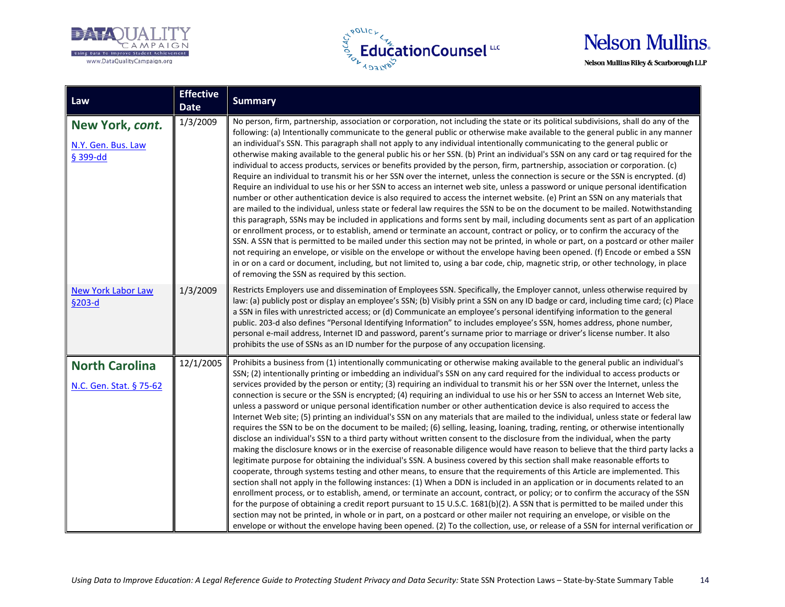





| Law                                               | <b>Effective</b><br><b>Date</b> | <b>Summary</b>                                                                                                                                                                                                                                                                                                                                                                                                                                                                                                                                                                                                                                                                                                                                                                                                                                                                                                                                                                                                                                                                                                                                                                                                                                                                                                                                                                                                                                                                                                                                                                                                                                                                                                                                                                                                                                                                                                                                                                                                                                                                                                                                        |
|---------------------------------------------------|---------------------------------|-------------------------------------------------------------------------------------------------------------------------------------------------------------------------------------------------------------------------------------------------------------------------------------------------------------------------------------------------------------------------------------------------------------------------------------------------------------------------------------------------------------------------------------------------------------------------------------------------------------------------------------------------------------------------------------------------------------------------------------------------------------------------------------------------------------------------------------------------------------------------------------------------------------------------------------------------------------------------------------------------------------------------------------------------------------------------------------------------------------------------------------------------------------------------------------------------------------------------------------------------------------------------------------------------------------------------------------------------------------------------------------------------------------------------------------------------------------------------------------------------------------------------------------------------------------------------------------------------------------------------------------------------------------------------------------------------------------------------------------------------------------------------------------------------------------------------------------------------------------------------------------------------------------------------------------------------------------------------------------------------------------------------------------------------------------------------------------------------------------------------------------------------------|
| New York, cont.<br>N.Y. Gen. Bus. Law<br>§ 399-dd | 1/3/2009                        | No person, firm, partnership, association or corporation, not including the state or its political subdivisions, shall do any of the<br>following: (a) Intentionally communicate to the general public or otherwise make available to the general public in any manner<br>an individual's SSN. This paragraph shall not apply to any individual intentionally communicating to the general public or<br>otherwise making available to the general public his or her SSN. (b) Print an individual's SSN on any card or tag required for the<br>individual to access products, services or benefits provided by the person, firm, partnership, association or corporation. (c)<br>Require an individual to transmit his or her SSN over the internet, unless the connection is secure or the SSN is encrypted. (d)<br>Require an individual to use his or her SSN to access an internet web site, unless a password or unique personal identification<br>number or other authentication device is also required to access the internet website. (e) Print an SSN on any materials that<br>are mailed to the individual, unless state or federal law requires the SSN to be on the document to be mailed. Notwithstanding<br>this paragraph, SSNs may be included in applications and forms sent by mail, including documents sent as part of an application<br>or enrollment process, or to establish, amend or terminate an account, contract or policy, or to confirm the accuracy of the<br>SSN. A SSN that is permitted to be mailed under this section may not be printed, in whole or part, on a postcard or other mailer<br>not requiring an envelope, or visible on the envelope or without the envelope having been opened. (f) Encode or embed a SSN<br>in or on a card or document, including, but not limited to, using a bar code, chip, magnetic strip, or other technology, in place<br>of removing the SSN as required by this section.                                                                                                                                                                                                 |
| <b>New York Labor Law</b><br>§203-d               | 1/3/2009                        | Restricts Employers use and dissemination of Employees SSN. Specifically, the Employer cannot, unless otherwise required by<br>law: (a) publicly post or display an employee's SSN; (b) Visibly print a SSN on any ID badge or card, including time card; (c) Place<br>a SSN in files with unrestricted access; or (d) Communicate an employee's personal identifying information to the general<br>public. 203-d also defines "Personal Identifying Information" to includes employee's SSN, homes address, phone number,<br>personal e-mail address, Internet ID and password, parent's surname prior to marriage or driver's license number. It also<br>prohibits the use of SSNs as an ID number for the purpose of any occupation licensing.                                                                                                                                                                                                                                                                                                                                                                                                                                                                                                                                                                                                                                                                                                                                                                                                                                                                                                                                                                                                                                                                                                                                                                                                                                                                                                                                                                                                     |
| <b>North Carolina</b><br>N.C. Gen. Stat. § 75-62  | 12/1/2005                       | Prohibits a business from (1) intentionally communicating or otherwise making available to the general public an individual's<br>SSN; (2) intentionally printing or imbedding an individual's SSN on any card required for the individual to access products or<br>services provided by the person or entity; (3) requiring an individual to transmit his or her SSN over the Internet, unless the<br>connection is secure or the SSN is encrypted; (4) requiring an individual to use his or her SSN to access an Internet Web site,<br>unless a password or unique personal identification number or other authentication device is also required to access the<br>Internet Web site; (5) printing an individual's SSN on any materials that are mailed to the individual, unless state or federal law<br>requires the SSN to be on the document to be mailed; (6) selling, leasing, loaning, trading, renting, or otherwise intentionally<br>disclose an individual's SSN to a third party without written consent to the disclosure from the individual, when the party<br>making the disclosure knows or in the exercise of reasonable diligence would have reason to believe that the third party lacks a<br>legitimate purpose for obtaining the individual's SSN. A business covered by this section shall make reasonable efforts to<br>cooperate, through systems testing and other means, to ensure that the requirements of this Article are implemented. This<br>section shall not apply in the following instances: (1) When a DDN is included in an application or in documents related to an<br>enrollment process, or to establish, amend, or terminate an account, contract, or policy; or to confirm the accuracy of the SSN<br>for the purpose of obtaining a credit report pursuant to 15 U.S.C. 1681(b)(2). A SSN that is permitted to be mailed under this<br>section may not be printed, in whole or in part, on a postcard or other mailer not requiring an envelope, or visible on the<br>envelope or without the envelope having been opened. (2) To the collection, use, or release of a SSN for internal verification or |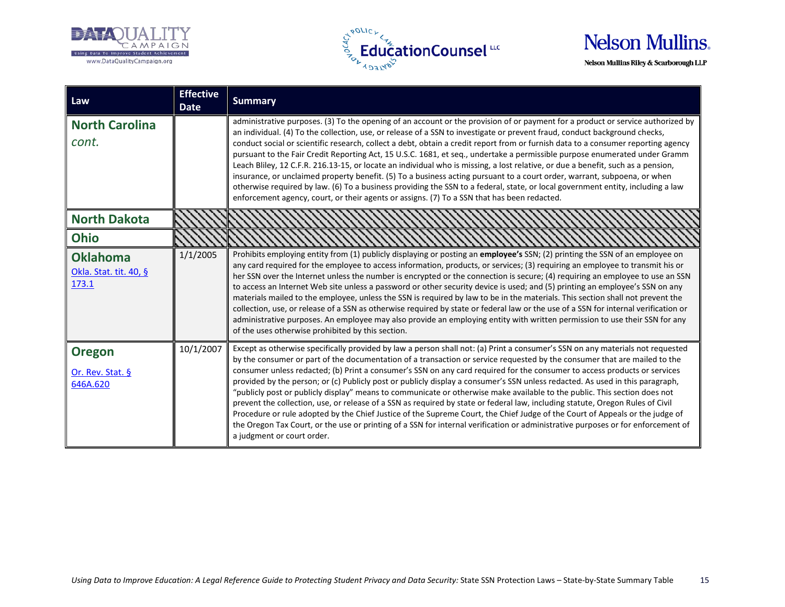





| Law                                                | <b>Effective</b><br><b>Date</b> | <b>Summary</b>                                                                                                                                                                                                                                                                                                                                                                                                                                                                                                                                                                                                                                                                                                                                                                                                                                                                                                                                                                                                                                                                             |
|----------------------------------------------------|---------------------------------|--------------------------------------------------------------------------------------------------------------------------------------------------------------------------------------------------------------------------------------------------------------------------------------------------------------------------------------------------------------------------------------------------------------------------------------------------------------------------------------------------------------------------------------------------------------------------------------------------------------------------------------------------------------------------------------------------------------------------------------------------------------------------------------------------------------------------------------------------------------------------------------------------------------------------------------------------------------------------------------------------------------------------------------------------------------------------------------------|
| <b>North Carolina</b><br>cont.                     |                                 | administrative purposes. (3) To the opening of an account or the provision of or payment for a product or service authorized by<br>an individual. (4) To the collection, use, or release of a SSN to investigate or prevent fraud, conduct background checks,<br>conduct social or scientific research, collect a debt, obtain a credit report from or furnish data to a consumer reporting agency<br>pursuant to the Fair Credit Reporting Act, 15 U.S.C. 1681, et seq., undertake a permissible purpose enumerated under Gramm<br>Leach Bliley, 12 C.F.R. 216.13-15, or locate an individual who is missing, a lost relative, or due a benefit, such as a pension,<br>insurance, or unclaimed property benefit. (5) To a business acting pursuant to a court order, warrant, subpoena, or when<br>otherwise required by law. (6) To a business providing the SSN to a federal, state, or local government entity, including a law<br>enforcement agency, court, or their agents or assigns. (7) To a SSN that has been redacted.                                                         |
| <b>North Dakota</b>                                |                                 |                                                                                                                                                                                                                                                                                                                                                                                                                                                                                                                                                                                                                                                                                                                                                                                                                                                                                                                                                                                                                                                                                            |
| <b>Ohio</b>                                        |                                 |                                                                                                                                                                                                                                                                                                                                                                                                                                                                                                                                                                                                                                                                                                                                                                                                                                                                                                                                                                                                                                                                                            |
| <b>Oklahoma</b><br>Okla. Stat. tit. 40, §<br>173.1 | 1/1/2005                        | Prohibits employing entity from (1) publicly displaying or posting an employee's SSN; (2) printing the SSN of an employee on<br>any card required for the employee to access information, products, or services; (3) requiring an employee to transmit his or<br>her SSN over the Internet unless the number is encrypted or the connection is secure; (4) requiring an employee to use an SSN<br>to access an Internet Web site unless a password or other security device is used; and (5) printing an employee's SSN on any<br>materials mailed to the employee, unless the SSN is required by law to be in the materials. This section shall not prevent the<br>collection, use, or release of a SSN as otherwise required by state or federal law or the use of a SSN for internal verification or<br>administrative purposes. An employee may also provide an employing entity with written permission to use their SSN for any<br>of the uses otherwise prohibited by this section.                                                                                                 |
| <b>Oregon</b><br>Or. Rev. Stat. §<br>646A.620      | 10/1/2007                       | Except as otherwise specifically provided by law a person shall not: (a) Print a consumer's SSN on any materials not requested<br>by the consumer or part of the documentation of a transaction or service requested by the consumer that are mailed to the<br>consumer unless redacted; (b) Print a consumer's SSN on any card required for the consumer to access products or services<br>provided by the person; or (c) Publicly post or publicly display a consumer's SSN unless redacted. As used in this paragraph,<br>"publicly post or publicly display" means to communicate or otherwise make available to the public. This section does not<br>prevent the collection, use, or release of a SSN as required by state or federal law, including statute, Oregon Rules of Civil<br>Procedure or rule adopted by the Chief Justice of the Supreme Court, the Chief Judge of the Court of Appeals or the judge of<br>the Oregon Tax Court, or the use or printing of a SSN for internal verification or administrative purposes or for enforcement of<br>a judgment or court order. |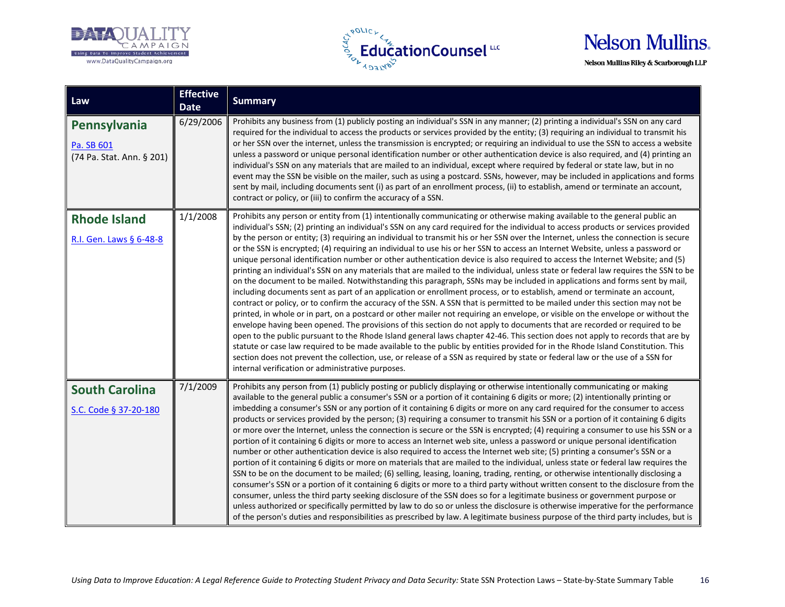





| Law                                                     | <b>Effective</b><br><b>Date</b> | <b>Summary</b>                                                                                                                                                                                                                                                                                                                                                                                                                                                                                                                                                                                                                                                                                                                                                                                                                                                                                                                                                                                                                                                                                                                                                                                                                                                                                                                                                                                                                                                                                                                                                                                                                                                                                                                                                                                                                                                                                                                           |
|---------------------------------------------------------|---------------------------------|------------------------------------------------------------------------------------------------------------------------------------------------------------------------------------------------------------------------------------------------------------------------------------------------------------------------------------------------------------------------------------------------------------------------------------------------------------------------------------------------------------------------------------------------------------------------------------------------------------------------------------------------------------------------------------------------------------------------------------------------------------------------------------------------------------------------------------------------------------------------------------------------------------------------------------------------------------------------------------------------------------------------------------------------------------------------------------------------------------------------------------------------------------------------------------------------------------------------------------------------------------------------------------------------------------------------------------------------------------------------------------------------------------------------------------------------------------------------------------------------------------------------------------------------------------------------------------------------------------------------------------------------------------------------------------------------------------------------------------------------------------------------------------------------------------------------------------------------------------------------------------------------------------------------------------------|
| Pennsylvania<br>Pa. SB 601<br>(74 Pa. Stat. Ann. § 201) | 6/29/2006                       | Prohibits any business from (1) publicly posting an individual's SSN in any manner; (2) printing a individual's SSN on any card<br>required for the individual to access the products or services provided by the entity; (3) requiring an individual to transmit his<br>or her SSN over the internet, unless the transmission is encrypted; or requiring an individual to use the SSN to access a website<br>unless a password or unique personal identification number or other authentication device is also required, and (4) printing an<br>individual's SSN on any materials that are mailed to an individual, except where required by federal or state law, but in no<br>event may the SSN be visible on the mailer, such as using a postcard. SSNs, however, may be included in applications and forms<br>sent by mail, including documents sent (i) as part of an enrollment process, (ii) to establish, amend or terminate an account,<br>contract or policy, or (iii) to confirm the accuracy of a SSN.                                                                                                                                                                                                                                                                                                                                                                                                                                                                                                                                                                                                                                                                                                                                                                                                                                                                                                                      |
| <b>Rhode Island</b><br>R.I. Gen. Laws § 6-48-8          | 1/1/2008                        | Prohibits any person or entity from (1) intentionally communicating or otherwise making available to the general public an<br>individual's SSN; (2) printing an individual's SSN on any card required for the individual to access products or services provided<br>by the person or entity; (3) requiring an individual to transmit his or her SSN over the Internet, unless the connection is secure<br>or the SSN is encrypted; (4) requiring an individual to use his or her SSN to access an Internet Website, unless a password or<br>unique personal identification number or other authentication device is also required to access the Internet Website; and (5)<br>printing an individual's SSN on any materials that are mailed to the individual, unless state or federal law requires the SSN to be<br>on the document to be mailed. Notwithstanding this paragraph, SSNs may be included in applications and forms sent by mail,<br>including documents sent as part of an application or enrollment process, or to establish, amend or terminate an account,<br>contract or policy, or to confirm the accuracy of the SSN. A SSN that is permitted to be mailed under this section may not be<br>printed, in whole or in part, on a postcard or other mailer not requiring an envelope, or visible on the envelope or without the<br>envelope having been opened. The provisions of this section do not apply to documents that are recorded or required to be<br>open to the public pursuant to the Rhode Island general laws chapter 42-46. This section does not apply to records that are by<br>statute or case law required to be made available to the public by entities provided for in the Rhode Island Constitution. This<br>section does not prevent the collection, use, or release of a SSN as required by state or federal law or the use of a SSN for<br>internal verification or administrative purposes. |
| <b>South Carolina</b><br>S.C. Code § 37-20-180          | 7/1/2009                        | Prohibits any person from (1) publicly posting or publicly displaying or otherwise intentionally communicating or making<br>available to the general public a consumer's SSN or a portion of it containing 6 digits or more; (2) intentionally printing or<br>imbedding a consumer's SSN or any portion of it containing 6 digits or more on any card required for the consumer to access<br>products or services provided by the person; (3) requiring a consumer to transmit his SSN or a portion of it containing 6 digits<br>or more over the Internet, unless the connection is secure or the SSN is encrypted; (4) requiring a consumer to use his SSN or a<br>portion of it containing 6 digits or more to access an Internet web site, unless a password or unique personal identification<br>number or other authentication device is also required to access the Internet web site; (5) printing a consumer's SSN or a<br>portion of it containing 6 digits or more on materials that are mailed to the individual, unless state or federal law requires the<br>SSN to be on the document to be mailed; (6) selling, leasing, loaning, trading, renting, or otherwise intentionally disclosing a<br>consumer's SSN or a portion of it containing 6 digits or more to a third party without written consent to the disclosure from the<br>consumer, unless the third party seeking disclosure of the SSN does so for a legitimate business or government purpose or<br>unless authorized or specifically permitted by law to do so or unless the disclosure is otherwise imperative for the performance<br>of the person's duties and responsibilities as prescribed by law. A legitimate business purpose of the third party includes, but is                                                                                                                                                                                  |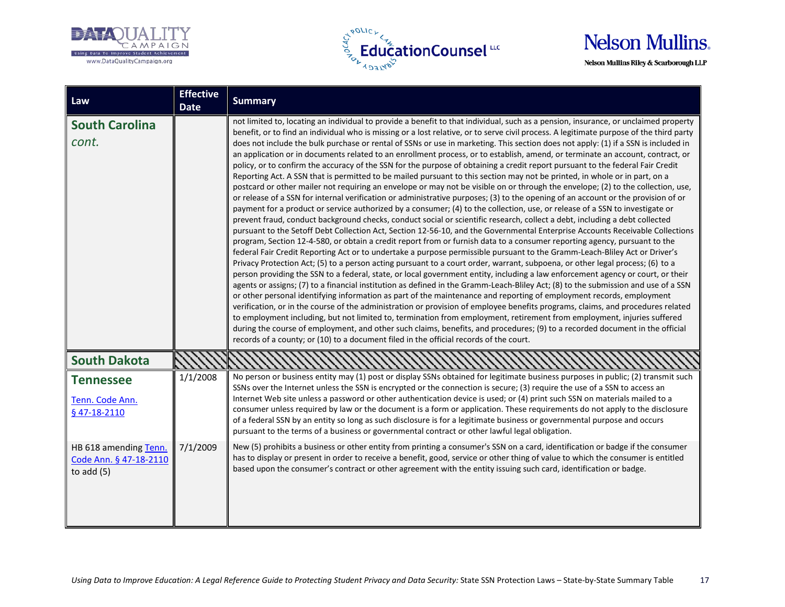





| Law                                                            | <b>Effective</b><br><b>Date</b> | <b>Summary</b>                                                                                                                                                                                                                                                                                                                                                                                                                                                                                                                                                                                                                                                                                                                                                                                                                                                                                                                                                                                                                                                                                                                                                                                                                                                                                                                                                                                                                                                                                                                                                                                                                                                                                                                                                                                                                                                                                                                                                                                                                                                                                                                                                                                                                                                                                                                                                                                                                                                                                                                                                                                                                                                                                                                                                                       |
|----------------------------------------------------------------|---------------------------------|--------------------------------------------------------------------------------------------------------------------------------------------------------------------------------------------------------------------------------------------------------------------------------------------------------------------------------------------------------------------------------------------------------------------------------------------------------------------------------------------------------------------------------------------------------------------------------------------------------------------------------------------------------------------------------------------------------------------------------------------------------------------------------------------------------------------------------------------------------------------------------------------------------------------------------------------------------------------------------------------------------------------------------------------------------------------------------------------------------------------------------------------------------------------------------------------------------------------------------------------------------------------------------------------------------------------------------------------------------------------------------------------------------------------------------------------------------------------------------------------------------------------------------------------------------------------------------------------------------------------------------------------------------------------------------------------------------------------------------------------------------------------------------------------------------------------------------------------------------------------------------------------------------------------------------------------------------------------------------------------------------------------------------------------------------------------------------------------------------------------------------------------------------------------------------------------------------------------------------------------------------------------------------------------------------------------------------------------------------------------------------------------------------------------------------------------------------------------------------------------------------------------------------------------------------------------------------------------------------------------------------------------------------------------------------------------------------------------------------------------------------------------------------------|
| <b>South Carolina</b><br>cont.                                 |                                 | not limited to, locating an individual to provide a benefit to that individual, such as a pension, insurance, or unclaimed property<br>benefit, or to find an individual who is missing or a lost relative, or to serve civil process. A legitimate purpose of the third party<br>does not include the bulk purchase or rental of SSNs or use in marketing. This section does not apply: (1) if a SSN is included in<br>an application or in documents related to an enrollment process, or to establish, amend, or terminate an account, contract, or<br>policy, or to confirm the accuracy of the SSN for the purpose of obtaining a credit report pursuant to the federal Fair Credit<br>Reporting Act. A SSN that is permitted to be mailed pursuant to this section may not be printed, in whole or in part, on a<br>postcard or other mailer not requiring an envelope or may not be visible on or through the envelope; (2) to the collection, use,<br>or release of a SSN for internal verification or administrative purposes; (3) to the opening of an account or the provision of or<br>payment for a product or service authorized by a consumer; (4) to the collection, use, or release of a SSN to investigate or<br>prevent fraud, conduct background checks, conduct social or scientific research, collect a debt, including a debt collected<br>pursuant to the Setoff Debt Collection Act, Section 12-56-10, and the Governmental Enterprise Accounts Receivable Collections<br>program, Section 12-4-580, or obtain a credit report from or furnish data to a consumer reporting agency, pursuant to the<br>federal Fair Credit Reporting Act or to undertake a purpose permissible pursuant to the Gramm-Leach-Bliley Act or Driver's<br>Privacy Protection Act; (5) to a person acting pursuant to a court order, warrant, subpoena, or other legal process; (6) to a<br>person providing the SSN to a federal, state, or local government entity, including a law enforcement agency or court, or their<br>agents or assigns; (7) to a financial institution as defined in the Gramm-Leach-Bliley Act; (8) to the submission and use of a SSN<br>or other personal identifying information as part of the maintenance and reporting of employment records, employment<br>verification, or in the course of the administration or provision of employee benefits programs, claims, and procedures related<br>to employment including, but not limited to, termination from employment, retirement from employment, injuries suffered<br>during the course of employment, and other such claims, benefits, and procedures; (9) to a recorded document in the official<br>records of a county; or (10) to a document filed in the official records of the court. |
| <b>South Dakota</b>                                            |                                 |                                                                                                                                                                                                                                                                                                                                                                                                                                                                                                                                                                                                                                                                                                                                                                                                                                                                                                                                                                                                                                                                                                                                                                                                                                                                                                                                                                                                                                                                                                                                                                                                                                                                                                                                                                                                                                                                                                                                                                                                                                                                                                                                                                                                                                                                                                                                                                                                                                                                                                                                                                                                                                                                                                                                                                                      |
| <b>Tennessee</b>                                               | 1/1/2008                        | No person or business entity may (1) post or display SSNs obtained for legitimate business purposes in public; (2) transmit such<br>SSNs over the Internet unless the SSN is encrypted or the connection is secure; (3) require the use of a SSN to access an                                                                                                                                                                                                                                                                                                                                                                                                                                                                                                                                                                                                                                                                                                                                                                                                                                                                                                                                                                                                                                                                                                                                                                                                                                                                                                                                                                                                                                                                                                                                                                                                                                                                                                                                                                                                                                                                                                                                                                                                                                                                                                                                                                                                                                                                                                                                                                                                                                                                                                                        |
| Tenn. Code Ann.<br>§47-18-2110                                 |                                 | Internet Web site unless a password or other authentication device is used; or (4) print such SSN on materials mailed to a<br>consumer unless required by law or the document is a form or application. These requirements do not apply to the disclosure<br>of a federal SSN by an entity so long as such disclosure is for a legitimate business or governmental purpose and occurs<br>pursuant to the terms of a business or governmental contract or other lawful legal obligation.                                                                                                                                                                                                                                                                                                                                                                                                                                                                                                                                                                                                                                                                                                                                                                                                                                                                                                                                                                                                                                                                                                                                                                                                                                                                                                                                                                                                                                                                                                                                                                                                                                                                                                                                                                                                                                                                                                                                                                                                                                                                                                                                                                                                                                                                                              |
| HB 618 amending Tenn.<br>Code Ann. § 47-18-2110<br>to $add(5)$ | 7/1/2009                        | New (5) prohibits a business or other entity from printing a consumer's SSN on a card, identification or badge if the consumer<br>has to display or present in order to receive a benefit, good, service or other thing of value to which the consumer is entitled<br>based upon the consumer's contract or other agreement with the entity issuing such card, identification or badge.                                                                                                                                                                                                                                                                                                                                                                                                                                                                                                                                                                                                                                                                                                                                                                                                                                                                                                                                                                                                                                                                                                                                                                                                                                                                                                                                                                                                                                                                                                                                                                                                                                                                                                                                                                                                                                                                                                                                                                                                                                                                                                                                                                                                                                                                                                                                                                                              |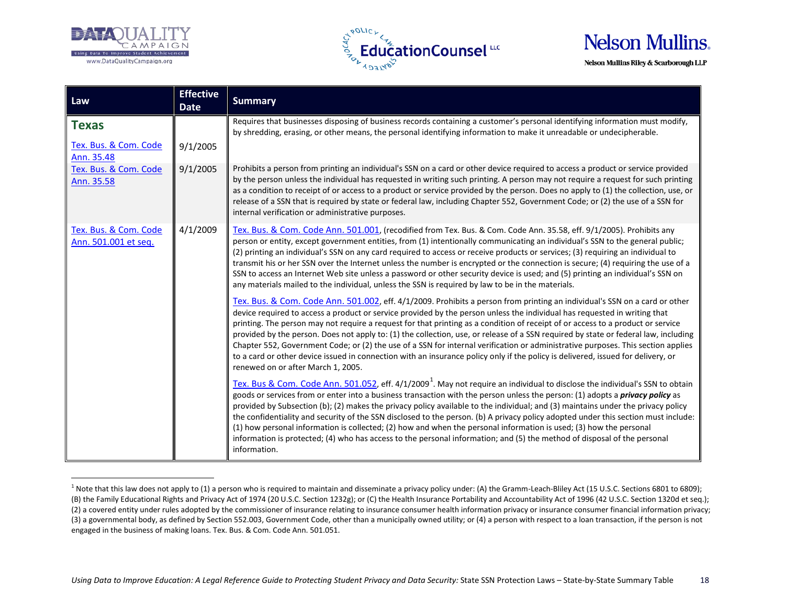

 $\overline{a}$ 



<span id="page-17-0"></span>

| Law                                           | <b>Effective</b><br><b>Date</b> | <b>Summary</b>                                                                                                                                                                                                                                                                                                                                                                                                                                                                                                                                                                                                                                                                                                                                                                                                                                  |
|-----------------------------------------------|---------------------------------|-------------------------------------------------------------------------------------------------------------------------------------------------------------------------------------------------------------------------------------------------------------------------------------------------------------------------------------------------------------------------------------------------------------------------------------------------------------------------------------------------------------------------------------------------------------------------------------------------------------------------------------------------------------------------------------------------------------------------------------------------------------------------------------------------------------------------------------------------|
| <b>Texas</b>                                  |                                 | Requires that businesses disposing of business records containing a customer's personal identifying information must modify,<br>by shredding, erasing, or other means, the personal identifying information to make it unreadable or undecipherable.                                                                                                                                                                                                                                                                                                                                                                                                                                                                                                                                                                                            |
| Tex. Bus. & Com. Code<br>Ann. 35.48           | 9/1/2005                        |                                                                                                                                                                                                                                                                                                                                                                                                                                                                                                                                                                                                                                                                                                                                                                                                                                                 |
| Tex. Bus. & Com. Code<br>Ann. 35.58           | 9/1/2005                        | Prohibits a person from printing an individual's SSN on a card or other device required to access a product or service provided<br>by the person unless the individual has requested in writing such printing. A person may not require a request for such printing<br>as a condition to receipt of or access to a product or service provided by the person. Does no apply to (1) the collection, use, or<br>release of a SSN that is required by state or federal law, including Chapter 552, Government Code; or (2) the use of a SSN for<br>internal verification or administrative purposes.                                                                                                                                                                                                                                               |
| Tex. Bus. & Com. Code<br>Ann. 501.001 et seq. | 4/1/2009                        | Tex. Bus. & Com. Code Ann. 501.001, (recodified from Tex. Bus. & Com. Code Ann. 35.58, eff. 9/1/2005). Prohibits any<br>person or entity, except government entities, from (1) intentionally communicating an individual's SSN to the general public;<br>(2) printing an individual's SSN on any card required to access or receive products or services; (3) requiring an individual to<br>transmit his or her SSN over the Internet unless the number is encrypted or the connection is secure; (4) requiring the use of a<br>SSN to access an Internet Web site unless a password or other security device is used; and (5) printing an individual's SSN on<br>any materials mailed to the individual, unless the SSN is required by law to be in the materials.                                                                             |
|                                               |                                 | Tex. Bus. & Com. Code Ann. 501.002, eff. 4/1/2009. Prohibits a person from printing an individual's SSN on a card or other<br>device required to access a product or service provided by the person unless the individual has requested in writing that<br>printing. The person may not require a request for that printing as a condition of receipt of or access to a product or service<br>provided by the person. Does not apply to: (1) the collection, use, or release of a SSN required by state or federal law, including<br>Chapter 552, Government Code; or (2) the use of a SSN for internal verification or administrative purposes. This section applies<br>to a card or other device issued in connection with an insurance policy only if the policy is delivered, issued for delivery, or<br>renewed on or after March 1, 2005. |
|                                               |                                 | Tex. Bus & Com. Code Ann. 501.052, eff. 4/1/2009 <sup>1</sup> . May not require an individual to disclose the individual's SSN to obtain<br>goods or services from or enter into a business transaction with the person unless the person: (1) adopts a <i>privacy policy</i> as<br>provided by Subsection (b); (2) makes the privacy policy available to the individual; and (3) maintains under the privacy policy<br>the confidentiality and security of the SSN disclosed to the person. (b) A privacy policy adopted under this section must include:<br>(1) how personal information is collected; (2) how and when the personal information is used; (3) how the personal<br>information is protected; (4) who has access to the personal information; and (5) the method of disposal of the personal<br>information.                    |

<sup>&</sup>lt;sup>1</sup> Note that this law does not apply to (1) a person who is required to maintain and disseminate a privacy policy under: (A) the Gramm-Leach-Bliley Act (15 U.S.C. Sections 6801 to 6809); (B) the Family Educational Rights and Privacy Act of 1974 (20 U.S.C. Section 1232g); or (C) the Health Insurance Portability and Accountability Act of 1996 (42 U.S.C. Section 1320d et seq.); (2) a covered entity under rules adopted by the commissioner of insurance relating to insurance consumer health information privacy or insurance consumer financial information privacy; (3) a governmental body, as defined by Section 552.003, Government Code, other than a municipally owned utility; or (4) a person with respect to a loan transaction, if the person is not engaged in the business of making loans. Tex. Bus. & Com. Code Ann. 501.051.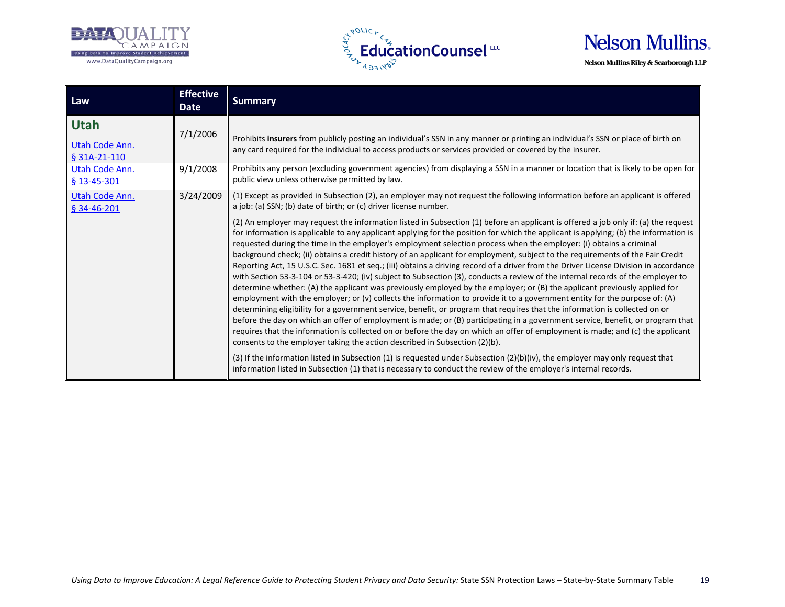





| Law                                                             | <b>Effective</b><br><b>Date</b> | <b>Summary</b>                                                                                                                                                                                                                                                                                                                                                                                                                                                                                                                                                                                                                                                                                                                                                                                                                                                                                                                                                                                                                                                                                                                                         |
|-----------------------------------------------------------------|---------------------------------|--------------------------------------------------------------------------------------------------------------------------------------------------------------------------------------------------------------------------------------------------------------------------------------------------------------------------------------------------------------------------------------------------------------------------------------------------------------------------------------------------------------------------------------------------------------------------------------------------------------------------------------------------------------------------------------------------------------------------------------------------------------------------------------------------------------------------------------------------------------------------------------------------------------------------------------------------------------------------------------------------------------------------------------------------------------------------------------------------------------------------------------------------------|
| <b>Utah</b><br>Utah Code Ann.<br>§ 31A-21-110<br>Utah Code Ann. | 7/1/2006<br>9/1/2008            | Prohibits insurers from publicly posting an individual's SSN in any manner or printing an individual's SSN or place of birth on<br>any card required for the individual to access products or services provided or covered by the insurer.<br>Prohibits any person (excluding government agencies) from displaying a SSN in a manner or location that is likely to be open for                                                                                                                                                                                                                                                                                                                                                                                                                                                                                                                                                                                                                                                                                                                                                                         |
| $$13-45-301$                                                    |                                 | public view unless otherwise permitted by law.                                                                                                                                                                                                                                                                                                                                                                                                                                                                                                                                                                                                                                                                                                                                                                                                                                                                                                                                                                                                                                                                                                         |
| Utah Code Ann.<br>$$34-46-201$                                  | 3/24/2009                       | (1) Except as provided in Subsection (2), an employer may not request the following information before an applicant is offered<br>a job: (a) SSN; (b) date of birth; or (c) driver license number.<br>(2) An employer may request the information listed in Subsection (1) before an applicant is offered a job only if: (a) the request<br>for information is applicable to any applicant applying for the position for which the applicant is applying; (b) the information is<br>requested during the time in the employer's employment selection process when the employer: (i) obtains a criminal                                                                                                                                                                                                                                                                                                                                                                                                                                                                                                                                                 |
|                                                                 |                                 | background check; (ii) obtains a credit history of an applicant for employment, subject to the requirements of the Fair Credit<br>Reporting Act, 15 U.S.C. Sec. 1681 et seq.; (iii) obtains a driving record of a driver from the Driver License Division in accordance<br>with Section 53-3-104 or 53-3-420; (iv) subject to Subsection (3), conducts a review of the internal records of the employer to<br>determine whether: (A) the applicant was previously employed by the employer; or (B) the applicant previously applied for<br>employment with the employer; or (v) collects the information to provide it to a government entity for the purpose of: (A)<br>determining eligibility for a government service, benefit, or program that requires that the information is collected on or<br>before the day on which an offer of employment is made; or (B) participating in a government service, benefit, or program that<br>requires that the information is collected on or before the day on which an offer of employment is made; and (c) the applicant<br>consents to the employer taking the action described in Subsection (2)(b). |
|                                                                 |                                 | (3) If the information listed in Subsection (1) is requested under Subsection (2)(b)(iv), the employer may only request that<br>information listed in Subsection (1) that is necessary to conduct the review of the employer's internal records.                                                                                                                                                                                                                                                                                                                                                                                                                                                                                                                                                                                                                                                                                                                                                                                                                                                                                                       |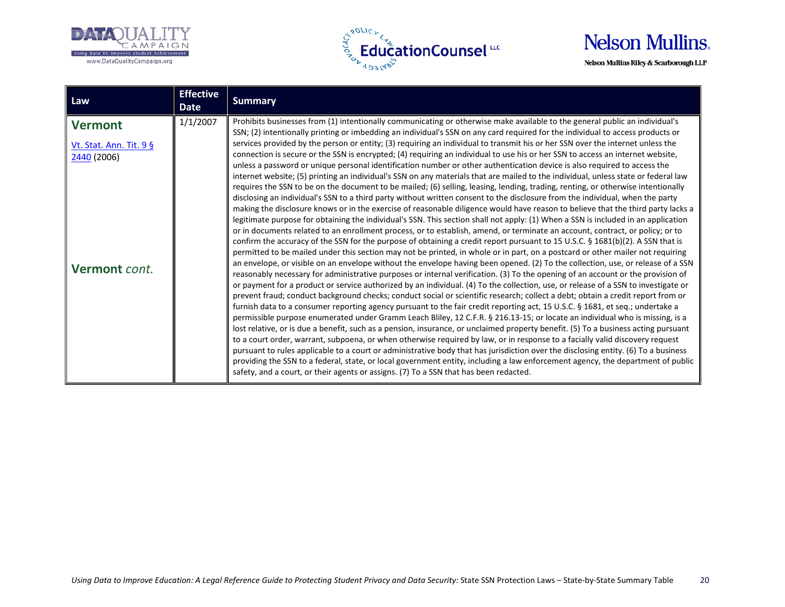





| Law                                                     | <b>Effective</b><br>Date | <b>Summary</b>                                                                                                                                                                                                                                                                                                                                                                                                                                                                                                                                                                                                                                                                                                                                                                                                                                                                                                                                                                                                                                                                                                                                                                                                                                                                                                                                                                                                                                                                                                                                                                                                                                                                                                                                                                                                                                                                                                                                                                                                                                                                                                                                                                                                                                                                                                                                                                                                                              |
|---------------------------------------------------------|--------------------------|---------------------------------------------------------------------------------------------------------------------------------------------------------------------------------------------------------------------------------------------------------------------------------------------------------------------------------------------------------------------------------------------------------------------------------------------------------------------------------------------------------------------------------------------------------------------------------------------------------------------------------------------------------------------------------------------------------------------------------------------------------------------------------------------------------------------------------------------------------------------------------------------------------------------------------------------------------------------------------------------------------------------------------------------------------------------------------------------------------------------------------------------------------------------------------------------------------------------------------------------------------------------------------------------------------------------------------------------------------------------------------------------------------------------------------------------------------------------------------------------------------------------------------------------------------------------------------------------------------------------------------------------------------------------------------------------------------------------------------------------------------------------------------------------------------------------------------------------------------------------------------------------------------------------------------------------------------------------------------------------------------------------------------------------------------------------------------------------------------------------------------------------------------------------------------------------------------------------------------------------------------------------------------------------------------------------------------------------------------------------------------------------------------------------------------------------|
| <b>Vermont</b>                                          | 1/1/2007                 | Prohibits businesses from (1) intentionally communicating or otherwise make available to the general public an individual's<br>SSN; (2) intentionally printing or imbedding an individual's SSN on any card required for the individual to access products or                                                                                                                                                                                                                                                                                                                                                                                                                                                                                                                                                                                                                                                                                                                                                                                                                                                                                                                                                                                                                                                                                                                                                                                                                                                                                                                                                                                                                                                                                                                                                                                                                                                                                                                                                                                                                                                                                                                                                                                                                                                                                                                                                                               |
| Vt. Stat. Ann. Tit. 9 §<br>2440 (2006)<br>Vermont cont. |                          | services provided by the person or entity; (3) requiring an individual to transmit his or her SSN over the internet unless the<br>connection is secure or the SSN is encrypted; (4) requiring an individual to use his or her SSN to access an internet website,<br>unless a password or unique personal identification number or other authentication device is also required to access the<br>internet website; (5) printing an individual's SSN on any materials that are mailed to the individual, unless state or federal law<br>requires the SSN to be on the document to be mailed; (6) selling, leasing, lending, trading, renting, or otherwise intentionally<br>disclosing an individual's SSN to a third party without written consent to the disclosure from the individual, when the party<br>making the disclosure knows or in the exercise of reasonable diligence would have reason to believe that the third party lacks a<br>legitimate purpose for obtaining the individual's SSN. This section shall not apply: (1) When a SSN is included in an application<br>or in documents related to an enrollment process, or to establish, amend, or terminate an account, contract, or policy; or to<br>confirm the accuracy of the SSN for the purpose of obtaining a credit report pursuant to 15 U.S.C. § 1681(b)(2). A SSN that is<br>permitted to be mailed under this section may not be printed, in whole or in part, on a postcard or other mailer not requiring<br>an envelope, or visible on an envelope without the envelope having been opened. (2) To the collection, use, or release of a SSN<br>reasonably necessary for administrative purposes or internal verification. (3) To the opening of an account or the provision of<br>or payment for a product or service authorized by an individual. (4) To the collection, use, or release of a SSN to investigate or<br>prevent fraud; conduct background checks; conduct social or scientific research; collect a debt; obtain a credit report from or<br>furnish data to a consumer reporting agency pursuant to the fair credit reporting act, 15 U.S.C. § 1681, et seq.; undertake a<br>permissible purpose enumerated under Gramm Leach Bliley, 12 C.F.R. § 216.13-15; or locate an individual who is missing, is a<br>lost relative, or is due a benefit, such as a pension, insurance, or unclaimed property benefit. (5) To a business acting pursuant |
|                                                         |                          | to a court order, warrant, subpoena, or when otherwise required by law, or in response to a facially valid discovery request<br>pursuant to rules applicable to a court or administrative body that has jurisdiction over the disclosing entity. (6) To a business<br>providing the SSN to a federal, state, or local government entity, including a law enforcement agency, the department of public<br>safety, and a court, or their agents or assigns. (7) To a SSN that has been redacted.                                                                                                                                                                                                                                                                                                                                                                                                                                                                                                                                                                                                                                                                                                                                                                                                                                                                                                                                                                                                                                                                                                                                                                                                                                                                                                                                                                                                                                                                                                                                                                                                                                                                                                                                                                                                                                                                                                                                              |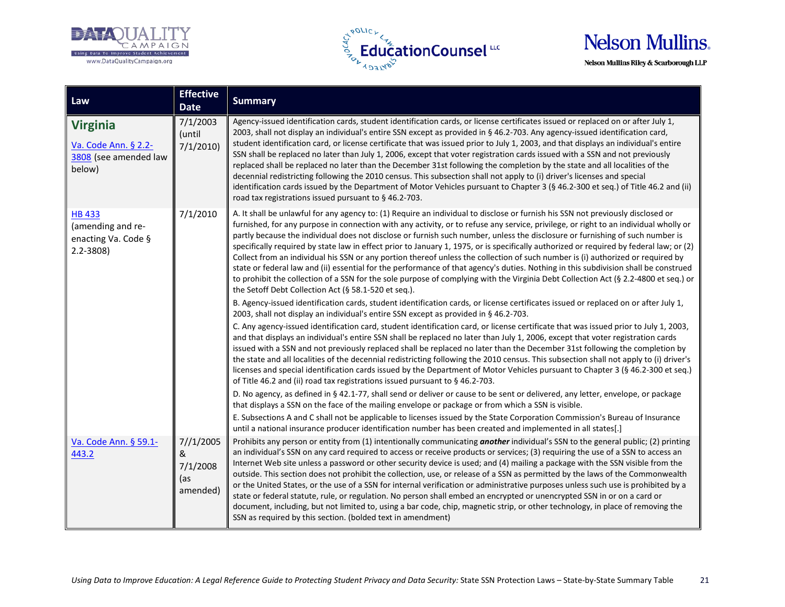





| Law                                                                        | <b>Effective</b><br><b>Date</b>               | <b>Summary</b>                                                                                                                                                                                                                                                                                                                                                                                                                                                                                                                                                                                                                                                                                                                                                                                                                                                                                                                                                                                                                                                                                                                                                                                                                                       |
|----------------------------------------------------------------------------|-----------------------------------------------|------------------------------------------------------------------------------------------------------------------------------------------------------------------------------------------------------------------------------------------------------------------------------------------------------------------------------------------------------------------------------------------------------------------------------------------------------------------------------------------------------------------------------------------------------------------------------------------------------------------------------------------------------------------------------------------------------------------------------------------------------------------------------------------------------------------------------------------------------------------------------------------------------------------------------------------------------------------------------------------------------------------------------------------------------------------------------------------------------------------------------------------------------------------------------------------------------------------------------------------------------|
| <b>Virginia</b><br>Va. Code Ann. § 2.2-<br>3808 (see amended law<br>below) | 7/1/2003<br>(until<br>7/1/2010                | Agency-issued identification cards, student identification cards, or license certificates issued or replaced on or after July 1,<br>2003, shall not display an individual's entire SSN except as provided in § 46.2-703. Any agency-issued identification card,<br>student identification card, or license certificate that was issued prior to July 1, 2003, and that displays an individual's entire<br>SSN shall be replaced no later than July 1, 2006, except that voter registration cards issued with a SSN and not previously<br>replaced shall be replaced no later than the December 31st following the completion by the state and all localities of the<br>decennial redistricting following the 2010 census. This subsection shall not apply to (i) driver's licenses and special<br>identification cards issued by the Department of Motor Vehicles pursuant to Chapter 3 (§ 46.2-300 et seq.) of Title 46.2 and (ii)<br>road tax registrations issued pursuant to §46.2-703.                                                                                                                                                                                                                                                          |
| <b>HB 433</b><br>(amending and re-<br>enacting Va. Code §<br>$2.2 - 3808$  | 7/1/2010                                      | A. It shall be unlawful for any agency to: (1) Require an individual to disclose or furnish his SSN not previously disclosed or<br>furnished, for any purpose in connection with any activity, or to refuse any service, privilege, or right to an individual wholly or<br>partly because the individual does not disclose or furnish such number, unless the disclosure or furnishing of such number is<br>specifically required by state law in effect prior to January 1, 1975, or is specifically authorized or required by federal law; or (2)<br>Collect from an individual his SSN or any portion thereof unless the collection of such number is (i) authorized or required by<br>state or federal law and (ii) essential for the performance of that agency's duties. Nothing in this subdivision shall be construed<br>to prohibit the collection of a SSN for the sole purpose of complying with the Virginia Debt Collection Act (§ 2.2-4800 et seq.) or<br>the Setoff Debt Collection Act (§ 58.1-520 et seq.).<br>B. Agency-issued identification cards, student identification cards, or license certificates issued or replaced on or after July 1,                                                                                  |
|                                                                            |                                               | 2003, shall not display an individual's entire SSN except as provided in § 46.2-703.<br>C. Any agency-issued identification card, student identification card, or license certificate that was issued prior to July 1, 2003,<br>and that displays an individual's entire SSN shall be replaced no later than July 1, 2006, except that voter registration cards<br>issued with a SSN and not previously replaced shall be replaced no later than the December 31st following the completion by<br>the state and all localities of the decennial redistricting following the 2010 census. This subsection shall not apply to (i) driver's<br>licenses and special identification cards issued by the Department of Motor Vehicles pursuant to Chapter 3 (§ 46.2-300 et seq.)<br>of Title 46.2 and (ii) road tax registrations issued pursuant to §46.2-703.<br>D. No agency, as defined in § 42.1-77, shall send or deliver or cause to be sent or delivered, any letter, envelope, or package<br>that displays a SSN on the face of the mailing envelope or package or from which a SSN is visible.                                                                                                                                                  |
| Va. Code Ann. § 59.1-<br>443.2                                             | 7//1/2005<br>&<br>7/1/2008<br>(as<br>amended) | E. Subsections A and C shall not be applicable to licenses issued by the State Corporation Commission's Bureau of Insurance<br>until a national insurance producer identification number has been created and implemented in all states[.]<br>Prohibits any person or entity from (1) intentionally communicating another individual's SSN to the general public; (2) printing<br>an individual's SSN on any card required to access or receive products or services; (3) requiring the use of a SSN to access an<br>Internet Web site unless a password or other security device is used; and (4) mailing a package with the SSN visible from the<br>outside. This section does not prohibit the collection, use, or release of a SSN as permitted by the laws of the Commonwealth<br>or the United States, or the use of a SSN for internal verification or administrative purposes unless such use is prohibited by a<br>state or federal statute, rule, or regulation. No person shall embed an encrypted or unencrypted SSN in or on a card or<br>document, including, but not limited to, using a bar code, chip, magnetic strip, or other technology, in place of removing the<br>SSN as required by this section. (bolded text in amendment) |